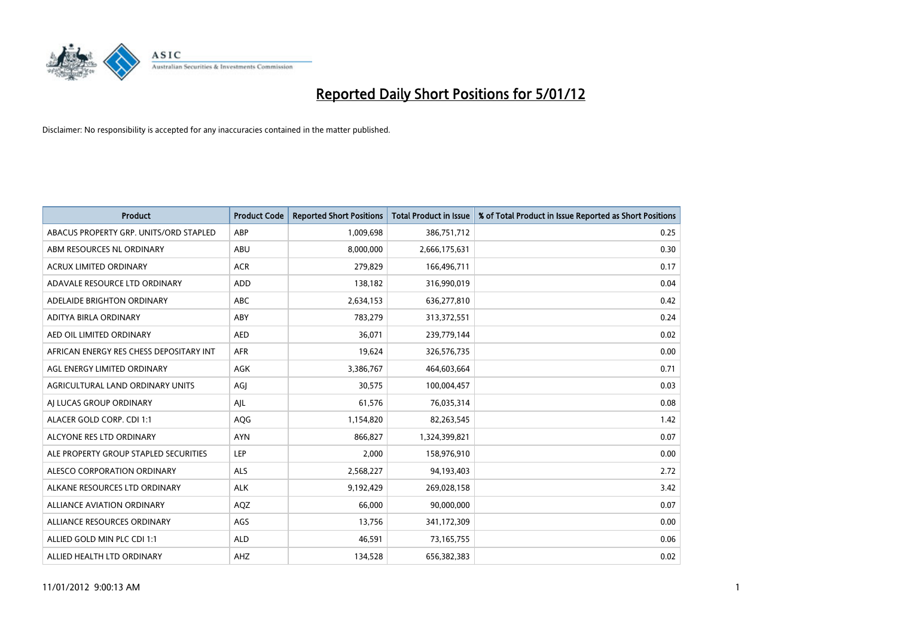

| <b>Product</b>                          | <b>Product Code</b> | <b>Reported Short Positions</b> | <b>Total Product in Issue</b> | % of Total Product in Issue Reported as Short Positions |
|-----------------------------------------|---------------------|---------------------------------|-------------------------------|---------------------------------------------------------|
| ABACUS PROPERTY GRP. UNITS/ORD STAPLED  | ABP                 | 1,009,698                       | 386,751,712                   | 0.25                                                    |
| ABM RESOURCES NL ORDINARY               | ABU                 | 8,000,000                       | 2,666,175,631                 | 0.30                                                    |
| <b>ACRUX LIMITED ORDINARY</b>           | <b>ACR</b>          | 279,829                         | 166,496,711                   | 0.17                                                    |
| ADAVALE RESOURCE LTD ORDINARY           | ADD                 | 138,182                         | 316,990,019                   | 0.04                                                    |
| ADELAIDE BRIGHTON ORDINARY              | <b>ABC</b>          | 2,634,153                       | 636,277,810                   | 0.42                                                    |
| ADITYA BIRLA ORDINARY                   | ABY                 | 783,279                         | 313,372,551                   | 0.24                                                    |
| AED OIL LIMITED ORDINARY                | <b>AED</b>          | 36,071                          | 239,779,144                   | 0.02                                                    |
| AFRICAN ENERGY RES CHESS DEPOSITARY INT | <b>AFR</b>          | 19,624                          | 326,576,735                   | 0.00                                                    |
| AGL ENERGY LIMITED ORDINARY             | AGK                 | 3,386,767                       | 464,603,664                   | 0.71                                                    |
| AGRICULTURAL LAND ORDINARY UNITS        | AGI                 | 30,575                          | 100,004,457                   | 0.03                                                    |
| AJ LUCAS GROUP ORDINARY                 | AJL                 | 61,576                          | 76,035,314                    | 0.08                                                    |
| ALACER GOLD CORP. CDI 1:1               | AQG                 | 1,154,820                       | 82,263,545                    | 1.42                                                    |
| ALCYONE RES LTD ORDINARY                | <b>AYN</b>          | 866,827                         | 1,324,399,821                 | 0.07                                                    |
| ALE PROPERTY GROUP STAPLED SECURITIES   | LEP                 | 2,000                           | 158,976,910                   | 0.00                                                    |
| ALESCO CORPORATION ORDINARY             | <b>ALS</b>          | 2,568,227                       | 94,193,403                    | 2.72                                                    |
| ALKANE RESOURCES LTD ORDINARY           | <b>ALK</b>          | 9,192,429                       | 269,028,158                   | 3.42                                                    |
| <b>ALLIANCE AVIATION ORDINARY</b>       | AQZ                 | 66,000                          | 90,000,000                    | 0.07                                                    |
| ALLIANCE RESOURCES ORDINARY             | AGS                 | 13,756                          | 341,172,309                   | 0.00                                                    |
| ALLIED GOLD MIN PLC CDI 1:1             | <b>ALD</b>          | 46,591                          | 73,165,755                    | 0.06                                                    |
| ALLIED HEALTH LTD ORDINARY              | AHZ                 | 134,528                         | 656,382,383                   | 0.02                                                    |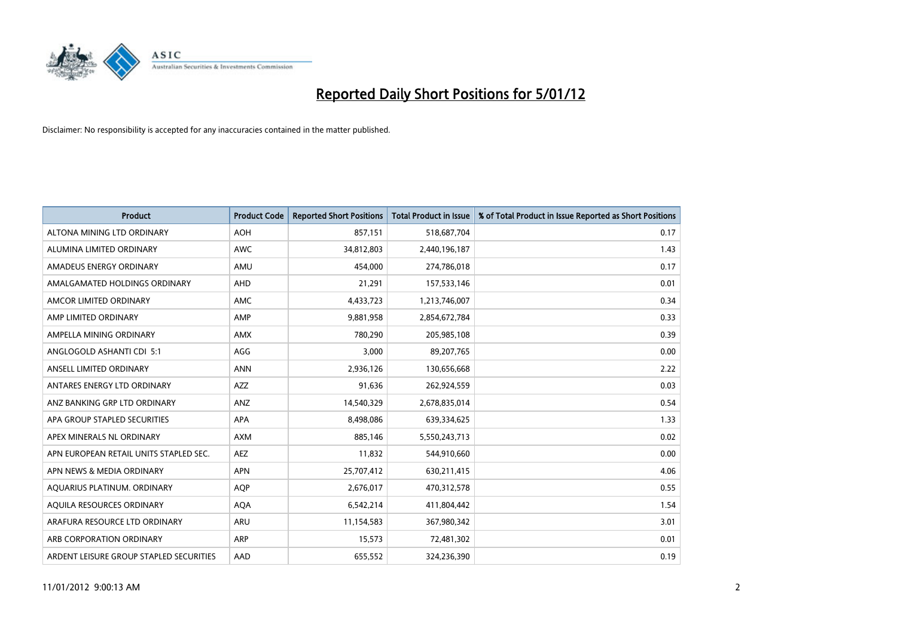

| <b>Product</b>                          | <b>Product Code</b> | <b>Reported Short Positions</b> | <b>Total Product in Issue</b> | % of Total Product in Issue Reported as Short Positions |
|-----------------------------------------|---------------------|---------------------------------|-------------------------------|---------------------------------------------------------|
| ALTONA MINING LTD ORDINARY              | <b>AOH</b>          | 857,151                         | 518,687,704                   | 0.17                                                    |
| ALUMINA LIMITED ORDINARY                | <b>AWC</b>          | 34,812,803                      | 2,440,196,187                 | 1.43                                                    |
| AMADEUS ENERGY ORDINARY                 | AMU                 | 454,000                         | 274,786,018                   | 0.17                                                    |
| AMALGAMATED HOLDINGS ORDINARY           | <b>AHD</b>          | 21,291                          | 157,533,146                   | 0.01                                                    |
| AMCOR LIMITED ORDINARY                  | <b>AMC</b>          | 4,433,723                       | 1,213,746,007                 | 0.34                                                    |
| AMP LIMITED ORDINARY                    | AMP                 | 9,881,958                       | 2,854,672,784                 | 0.33                                                    |
| AMPELLA MINING ORDINARY                 | <b>AMX</b>          | 780.290                         | 205,985,108                   | 0.39                                                    |
| ANGLOGOLD ASHANTI CDI 5:1               | AGG                 | 3,000                           | 89,207,765                    | 0.00                                                    |
| ANSELL LIMITED ORDINARY                 | <b>ANN</b>          | 2,936,126                       | 130,656,668                   | 2.22                                                    |
| ANTARES ENERGY LTD ORDINARY             | <b>AZZ</b>          | 91,636                          | 262,924,559                   | 0.03                                                    |
| ANZ BANKING GRP LTD ORDINARY            | ANZ                 | 14,540,329                      | 2,678,835,014                 | 0.54                                                    |
| APA GROUP STAPLED SECURITIES            | <b>APA</b>          | 8,498,086                       | 639,334,625                   | 1.33                                                    |
| APEX MINERALS NL ORDINARY               | <b>AXM</b>          | 885,146                         | 5,550,243,713                 | 0.02                                                    |
| APN EUROPEAN RETAIL UNITS STAPLED SEC.  | <b>AEZ</b>          | 11,832                          | 544,910,660                   | 0.00                                                    |
| APN NEWS & MEDIA ORDINARY               | <b>APN</b>          | 25,707,412                      | 630,211,415                   | 4.06                                                    |
| AQUARIUS PLATINUM. ORDINARY             | <b>AOP</b>          | 2,676,017                       | 470,312,578                   | 0.55                                                    |
| AQUILA RESOURCES ORDINARY               | <b>AQA</b>          | 6,542,214                       | 411,804,442                   | 1.54                                                    |
| ARAFURA RESOURCE LTD ORDINARY           | <b>ARU</b>          | 11,154,583                      | 367,980,342                   | 3.01                                                    |
| ARB CORPORATION ORDINARY                | <b>ARP</b>          | 15,573                          | 72,481,302                    | 0.01                                                    |
| ARDENT LEISURE GROUP STAPLED SECURITIES | AAD                 | 655,552                         | 324,236,390                   | 0.19                                                    |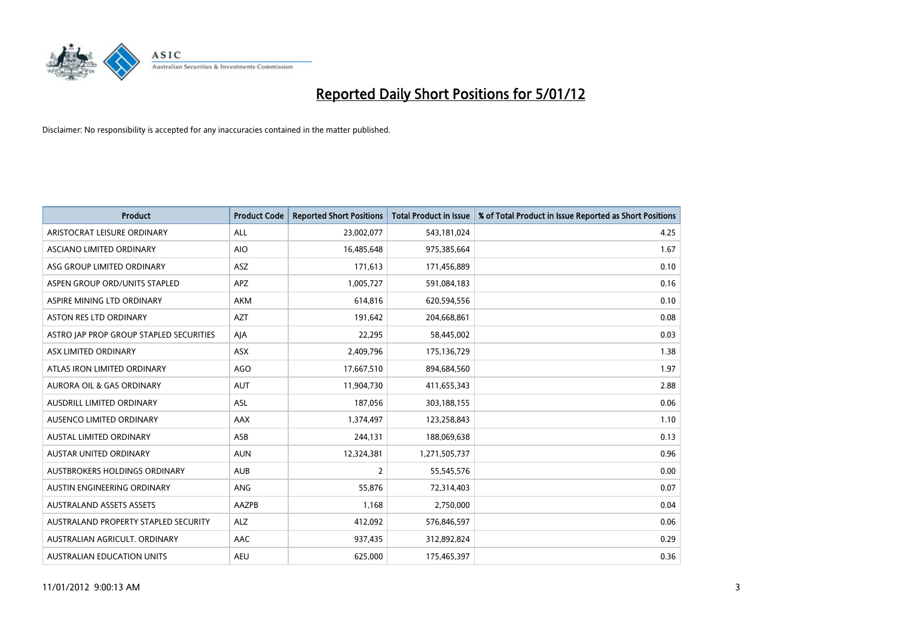

| <b>Product</b>                          | <b>Product Code</b> | <b>Reported Short Positions</b> | <b>Total Product in Issue</b> | % of Total Product in Issue Reported as Short Positions |
|-----------------------------------------|---------------------|---------------------------------|-------------------------------|---------------------------------------------------------|
| ARISTOCRAT LEISURE ORDINARY             | <b>ALL</b>          | 23,002,077                      | 543,181,024                   | 4.25                                                    |
| ASCIANO LIMITED ORDINARY                | <b>AIO</b>          | 16,485,648                      | 975,385,664                   | 1.67                                                    |
| ASG GROUP LIMITED ORDINARY              | <b>ASZ</b>          | 171,613                         | 171,456,889                   | 0.10                                                    |
| ASPEN GROUP ORD/UNITS STAPLED           | APZ                 | 1,005,727                       | 591,084,183                   | 0.16                                                    |
| ASPIRE MINING LTD ORDINARY              | <b>AKM</b>          | 614,816                         | 620,594,556                   | 0.10                                                    |
| <b>ASTON RES LTD ORDINARY</b>           | <b>AZT</b>          | 191,642                         | 204,668,861                   | 0.08                                                    |
| ASTRO JAP PROP GROUP STAPLED SECURITIES | AJA                 | 22,295                          | 58,445,002                    | 0.03                                                    |
| ASX LIMITED ORDINARY                    | ASX                 | 2,409,796                       | 175,136,729                   | 1.38                                                    |
| ATLAS IRON LIMITED ORDINARY             | <b>AGO</b>          | 17,667,510                      | 894,684,560                   | 1.97                                                    |
| <b>AURORA OIL &amp; GAS ORDINARY</b>    | <b>AUT</b>          | 11,904,730                      | 411,655,343                   | 2.88                                                    |
| AUSDRILL LIMITED ORDINARY               | <b>ASL</b>          | 187,056                         | 303,188,155                   | 0.06                                                    |
| <b>AUSENCO LIMITED ORDINARY</b>         | AAX                 | 1,374,497                       | 123,258,843                   | 1.10                                                    |
| AUSTAL LIMITED ORDINARY                 | ASB                 | 244,131                         | 188,069,638                   | 0.13                                                    |
| <b>AUSTAR UNITED ORDINARY</b>           | <b>AUN</b>          | 12,324,381                      | 1,271,505,737                 | 0.96                                                    |
| AUSTBROKERS HOLDINGS ORDINARY           | <b>AUB</b>          | 2                               | 55,545,576                    | 0.00                                                    |
| AUSTIN ENGINEERING ORDINARY             | ANG                 | 55,876                          | 72,314,403                    | 0.07                                                    |
| <b>AUSTRALAND ASSETS ASSETS</b>         | AAZPB               | 1,168                           | 2,750,000                     | 0.04                                                    |
| AUSTRALAND PROPERTY STAPLED SECURITY    | <b>ALZ</b>          | 412,092                         | 576,846,597                   | 0.06                                                    |
| AUSTRALIAN AGRICULT, ORDINARY           | AAC                 | 937,435                         | 312,892,824                   | 0.29                                                    |
| <b>AUSTRALIAN EDUCATION UNITS</b>       | <b>AEU</b>          | 625.000                         | 175,465,397                   | 0.36                                                    |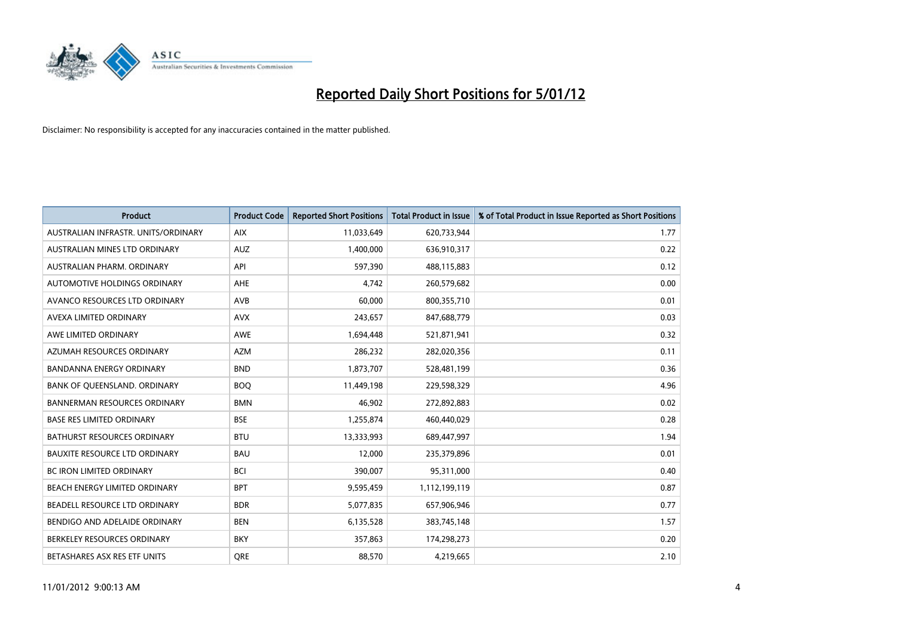

| <b>Product</b>                       | <b>Product Code</b> | <b>Reported Short Positions</b> | <b>Total Product in Issue</b> | % of Total Product in Issue Reported as Short Positions |
|--------------------------------------|---------------------|---------------------------------|-------------------------------|---------------------------------------------------------|
| AUSTRALIAN INFRASTR, UNITS/ORDINARY  | <b>AIX</b>          | 11,033,649                      | 620,733,944                   | 1.77                                                    |
| AUSTRALIAN MINES LTD ORDINARY        | <b>AUZ</b>          | 1,400,000                       | 636,910,317                   | 0.22                                                    |
| <b>AUSTRALIAN PHARM, ORDINARY</b>    | API                 | 597,390                         | 488,115,883                   | 0.12                                                    |
| AUTOMOTIVE HOLDINGS ORDINARY         | <b>AHE</b>          | 4,742                           | 260,579,682                   | 0.00                                                    |
| AVANCO RESOURCES LTD ORDINARY        | AVB                 | 60,000                          | 800,355,710                   | 0.01                                                    |
| AVEXA LIMITED ORDINARY               | <b>AVX</b>          | 243,657                         | 847,688,779                   | 0.03                                                    |
| AWE LIMITED ORDINARY                 | AWE                 | 1,694,448                       | 521,871,941                   | 0.32                                                    |
| AZUMAH RESOURCES ORDINARY            | <b>AZM</b>          | 286,232                         | 282,020,356                   | 0.11                                                    |
| BANDANNA ENERGY ORDINARY             | <b>BND</b>          | 1,873,707                       | 528,481,199                   | 0.36                                                    |
| BANK OF OUEENSLAND, ORDINARY         | <b>BOO</b>          | 11,449,198                      | 229,598,329                   | 4.96                                                    |
| <b>BANNERMAN RESOURCES ORDINARY</b>  | <b>BMN</b>          | 46,902                          | 272,892,883                   | 0.02                                                    |
| <b>BASE RES LIMITED ORDINARY</b>     | <b>BSE</b>          | 1,255,874                       | 460,440,029                   | 0.28                                                    |
| <b>BATHURST RESOURCES ORDINARY</b>   | <b>BTU</b>          | 13,333,993                      | 689,447,997                   | 1.94                                                    |
| <b>BAUXITE RESOURCE LTD ORDINARY</b> | <b>BAU</b>          | 12,000                          | 235,379,896                   | 0.01                                                    |
| <b>BC IRON LIMITED ORDINARY</b>      | <b>BCI</b>          | 390,007                         | 95,311,000                    | 0.40                                                    |
| BEACH ENERGY LIMITED ORDINARY        | <b>BPT</b>          | 9,595,459                       | 1,112,199,119                 | 0.87                                                    |
| BEADELL RESOURCE LTD ORDINARY        | <b>BDR</b>          | 5,077,835                       | 657,906,946                   | 0.77                                                    |
| BENDIGO AND ADELAIDE ORDINARY        | <b>BEN</b>          | 6,135,528                       | 383,745,148                   | 1.57                                                    |
| BERKELEY RESOURCES ORDINARY          | <b>BKY</b>          | 357,863                         | 174,298,273                   | 0.20                                                    |
| BETASHARES ASX RES ETF UNITS         | <b>ORE</b>          | 88,570                          | 4,219,665                     | 2.10                                                    |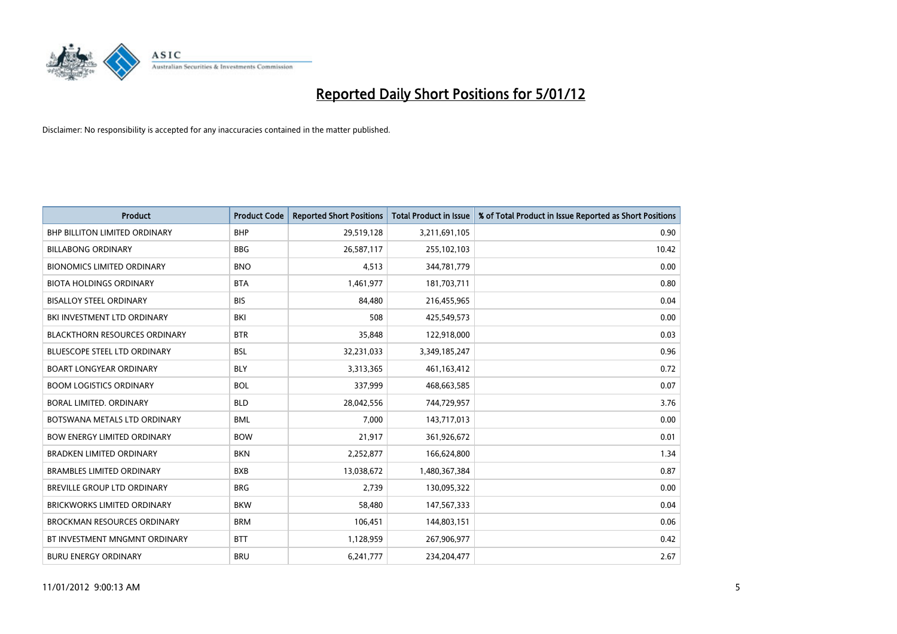

| <b>Product</b>                       | <b>Product Code</b> | <b>Reported Short Positions</b> | <b>Total Product in Issue</b> | % of Total Product in Issue Reported as Short Positions |
|--------------------------------------|---------------------|---------------------------------|-------------------------------|---------------------------------------------------------|
| <b>BHP BILLITON LIMITED ORDINARY</b> | <b>BHP</b>          | 29,519,128                      | 3,211,691,105                 | 0.90                                                    |
| <b>BILLABONG ORDINARY</b>            | <b>BBG</b>          | 26,587,117                      | 255,102,103                   | 10.42                                                   |
| <b>BIONOMICS LIMITED ORDINARY</b>    | <b>BNO</b>          | 4,513                           | 344,781,779                   | 0.00                                                    |
| <b>BIOTA HOLDINGS ORDINARY</b>       | <b>BTA</b>          | 1,461,977                       | 181,703,711                   | 0.80                                                    |
| <b>BISALLOY STEEL ORDINARY</b>       | <b>BIS</b>          | 84.480                          | 216,455,965                   | 0.04                                                    |
| BKI INVESTMENT LTD ORDINARY          | BKI                 | 508                             | 425,549,573                   | 0.00                                                    |
| <b>BLACKTHORN RESOURCES ORDINARY</b> | <b>BTR</b>          | 35,848                          | 122,918,000                   | 0.03                                                    |
| <b>BLUESCOPE STEEL LTD ORDINARY</b>  | <b>BSL</b>          | 32,231,033                      | 3,349,185,247                 | 0.96                                                    |
| <b>BOART LONGYEAR ORDINARY</b>       | <b>BLY</b>          | 3,313,365                       | 461,163,412                   | 0.72                                                    |
| <b>BOOM LOGISTICS ORDINARY</b>       | <b>BOL</b>          | 337,999                         | 468,663,585                   | 0.07                                                    |
| BORAL LIMITED, ORDINARY              | <b>BLD</b>          | 28,042,556                      | 744,729,957                   | 3.76                                                    |
| BOTSWANA METALS LTD ORDINARY         | <b>BML</b>          | 7,000                           | 143,717,013                   | 0.00                                                    |
| <b>BOW ENERGY LIMITED ORDINARY</b>   | <b>BOW</b>          | 21,917                          | 361,926,672                   | 0.01                                                    |
| <b>BRADKEN LIMITED ORDINARY</b>      | <b>BKN</b>          | 2,252,877                       | 166,624,800                   | 1.34                                                    |
| <b>BRAMBLES LIMITED ORDINARY</b>     | <b>BXB</b>          | 13,038,672                      | 1,480,367,384                 | 0.87                                                    |
| <b>BREVILLE GROUP LTD ORDINARY</b>   | <b>BRG</b>          | 2,739                           | 130,095,322                   | 0.00                                                    |
| <b>BRICKWORKS LIMITED ORDINARY</b>   | <b>BKW</b>          | 58,480                          | 147,567,333                   | 0.04                                                    |
| <b>BROCKMAN RESOURCES ORDINARY</b>   | <b>BRM</b>          | 106,451                         | 144,803,151                   | 0.06                                                    |
| BT INVESTMENT MNGMNT ORDINARY        | <b>BTT</b>          | 1,128,959                       | 267,906,977                   | 0.42                                                    |
| <b>BURU ENERGY ORDINARY</b>          | <b>BRU</b>          | 6,241,777                       | 234.204.477                   | 2.67                                                    |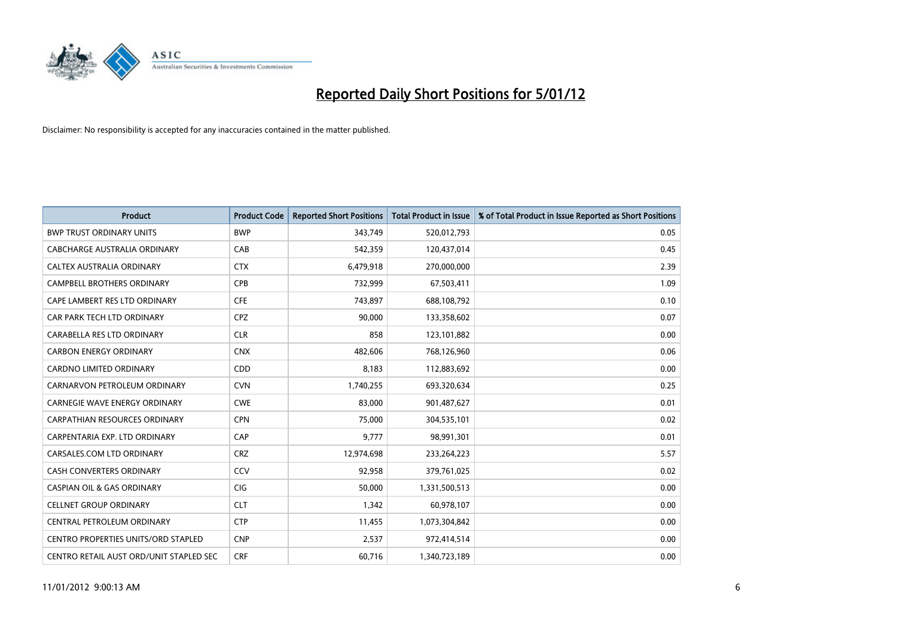

| <b>Product</b>                             | <b>Product Code</b> | <b>Reported Short Positions</b> | <b>Total Product in Issue</b> | % of Total Product in Issue Reported as Short Positions |
|--------------------------------------------|---------------------|---------------------------------|-------------------------------|---------------------------------------------------------|
| <b>BWP TRUST ORDINARY UNITS</b>            | <b>BWP</b>          | 343,749                         | 520,012,793                   | 0.05                                                    |
| CABCHARGE AUSTRALIA ORDINARY               | CAB                 | 542,359                         | 120,437,014                   | 0.45                                                    |
| CALTEX AUSTRALIA ORDINARY                  | <b>CTX</b>          | 6,479,918                       | 270,000,000                   | 2.39                                                    |
| CAMPBELL BROTHERS ORDINARY                 | <b>CPB</b>          | 732,999                         | 67,503,411                    | 1.09                                                    |
| CAPE LAMBERT RES LTD ORDINARY              | <b>CFE</b>          | 743,897                         | 688,108,792                   | 0.10                                                    |
| CAR PARK TECH LTD ORDINARY                 | <b>CPZ</b>          | 90,000                          | 133,358,602                   | 0.07                                                    |
| CARABELLA RES LTD ORDINARY                 | <b>CLR</b>          | 858                             | 123,101,882                   | 0.00                                                    |
| <b>CARBON ENERGY ORDINARY</b>              | <b>CNX</b>          | 482,606                         | 768,126,960                   | 0.06                                                    |
| CARDNO LIMITED ORDINARY                    | CDD                 | 8,183                           | 112,883,692                   | 0.00                                                    |
| CARNARVON PETROLEUM ORDINARY               | <b>CVN</b>          | 1,740,255                       | 693,320,634                   | 0.25                                                    |
| <b>CARNEGIE WAVE ENERGY ORDINARY</b>       | <b>CWE</b>          | 83,000                          | 901,487,627                   | 0.01                                                    |
| <b>CARPATHIAN RESOURCES ORDINARY</b>       | <b>CPN</b>          | 75,000                          | 304,535,101                   | 0.02                                                    |
| CARPENTARIA EXP. LTD ORDINARY              | CAP                 | 9,777                           | 98,991,301                    | 0.01                                                    |
| CARSALES.COM LTD ORDINARY                  | <b>CRZ</b>          | 12,974,698                      | 233, 264, 223                 | 5.57                                                    |
| <b>CASH CONVERTERS ORDINARY</b>            | CCV                 | 92,958                          | 379,761,025                   | 0.02                                                    |
| <b>CASPIAN OIL &amp; GAS ORDINARY</b>      | <b>CIG</b>          | 50,000                          | 1,331,500,513                 | 0.00                                                    |
| <b>CELLNET GROUP ORDINARY</b>              | <b>CLT</b>          | 1,342                           | 60,978,107                    | 0.00                                                    |
| CENTRAL PETROLEUM ORDINARY                 | <b>CTP</b>          | 11,455                          | 1,073,304,842                 | 0.00                                                    |
| <b>CENTRO PROPERTIES UNITS/ORD STAPLED</b> | <b>CNP</b>          | 2,537                           | 972,414,514                   | 0.00                                                    |
| CENTRO RETAIL AUST ORD/UNIT STAPLED SEC    | <b>CRF</b>          | 60,716                          | 1,340,723,189                 | 0.00                                                    |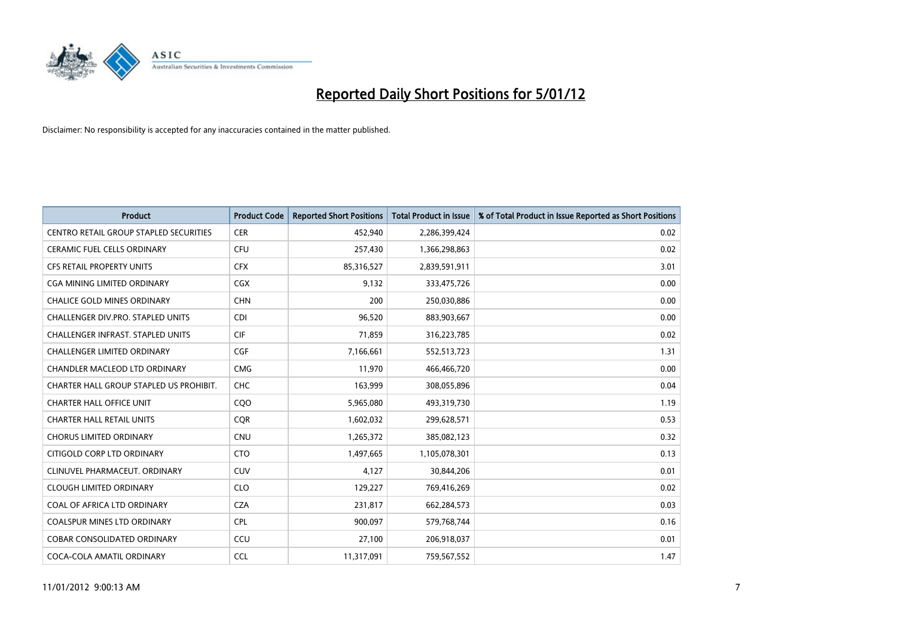

| <b>Product</b>                           | <b>Product Code</b> | <b>Reported Short Positions</b> | <b>Total Product in Issue</b> | % of Total Product in Issue Reported as Short Positions |
|------------------------------------------|---------------------|---------------------------------|-------------------------------|---------------------------------------------------------|
| CENTRO RETAIL GROUP STAPLED SECURITIES   | <b>CER</b>          | 452,940                         | 2,286,399,424                 | 0.02                                                    |
| <b>CERAMIC FUEL CELLS ORDINARY</b>       | <b>CFU</b>          | 257,430                         | 1,366,298,863                 | 0.02                                                    |
| <b>CFS RETAIL PROPERTY UNITS</b>         | <b>CFX</b>          | 85,316,527                      | 2,839,591,911                 | 3.01                                                    |
| CGA MINING LIMITED ORDINARY              | <b>CGX</b>          | 9,132                           | 333,475,726                   | 0.00                                                    |
| <b>CHALICE GOLD MINES ORDINARY</b>       | <b>CHN</b>          | 200                             | 250,030,886                   | 0.00                                                    |
| <b>CHALLENGER DIV.PRO. STAPLED UNITS</b> | <b>CDI</b>          | 96,520                          | 883,903,667                   | 0.00                                                    |
| <b>CHALLENGER INFRAST, STAPLED UNITS</b> | <b>CIF</b>          | 71,859                          | 316,223,785                   | 0.02                                                    |
| <b>CHALLENGER LIMITED ORDINARY</b>       | CGF                 | 7,166,661                       | 552,513,723                   | 1.31                                                    |
| CHANDLER MACLEOD LTD ORDINARY            | <b>CMG</b>          | 11,970                          | 466,466,720                   | 0.00                                                    |
| CHARTER HALL GROUP STAPLED US PROHIBIT.  | <b>CHC</b>          | 163,999                         | 308,055,896                   | 0.04                                                    |
| <b>CHARTER HALL OFFICE UNIT</b>          | COO                 | 5,965,080                       | 493,319,730                   | 1.19                                                    |
| <b>CHARTER HALL RETAIL UNITS</b>         | <b>CQR</b>          | 1,602,032                       | 299,628,571                   | 0.53                                                    |
| <b>CHORUS LIMITED ORDINARY</b>           | <b>CNU</b>          | 1,265,372                       | 385,082,123                   | 0.32                                                    |
| CITIGOLD CORP LTD ORDINARY               | <b>CTO</b>          | 1,497,665                       | 1,105,078,301                 | 0.13                                                    |
| CLINUVEL PHARMACEUT. ORDINARY            | <b>CUV</b>          | 4,127                           | 30,844,206                    | 0.01                                                    |
| <b>CLOUGH LIMITED ORDINARY</b>           | <b>CLO</b>          | 129,227                         | 769,416,269                   | 0.02                                                    |
| COAL OF AFRICA LTD ORDINARY              | <b>CZA</b>          | 231,817                         | 662,284,573                   | 0.03                                                    |
| COALSPUR MINES LTD ORDINARY              | <b>CPL</b>          | 900.097                         | 579,768,744                   | 0.16                                                    |
| <b>COBAR CONSOLIDATED ORDINARY</b>       | CCU                 | 27,100                          | 206,918,037                   | 0.01                                                    |
| COCA-COLA AMATIL ORDINARY                | <b>CCL</b>          | 11,317,091                      | 759,567,552                   | 1.47                                                    |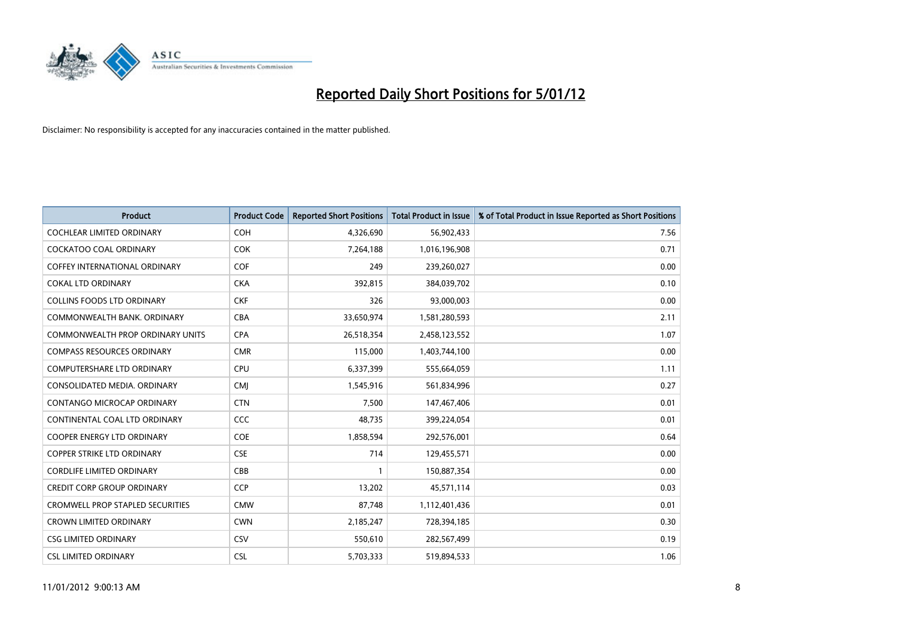

| <b>Product</b>                          | <b>Product Code</b> | <b>Reported Short Positions</b> | <b>Total Product in Issue</b> | % of Total Product in Issue Reported as Short Positions |
|-----------------------------------------|---------------------|---------------------------------|-------------------------------|---------------------------------------------------------|
| <b>COCHLEAR LIMITED ORDINARY</b>        | <b>COH</b>          | 4,326,690                       | 56,902,433                    | 7.56                                                    |
| COCKATOO COAL ORDINARY                  | <b>COK</b>          | 7,264,188                       | 1,016,196,908                 | 0.71                                                    |
| <b>COFFEY INTERNATIONAL ORDINARY</b>    | <b>COF</b>          | 249                             | 239,260,027                   | 0.00                                                    |
| <b>COKAL LTD ORDINARY</b>               | <b>CKA</b>          | 392,815                         | 384,039,702                   | 0.10                                                    |
| COLLINS FOODS LTD ORDINARY              | <b>CKF</b>          | 326                             | 93,000,003                    | 0.00                                                    |
| COMMONWEALTH BANK, ORDINARY             | <b>CBA</b>          | 33,650,974                      | 1,581,280,593                 | 2.11                                                    |
| COMMONWEALTH PROP ORDINARY UNITS        | <b>CPA</b>          | 26,518,354                      | 2,458,123,552                 | 1.07                                                    |
| <b>COMPASS RESOURCES ORDINARY</b>       | <b>CMR</b>          | 115,000                         | 1,403,744,100                 | 0.00                                                    |
| COMPUTERSHARE LTD ORDINARY              | CPU                 | 6,337,399                       | 555,664,059                   | 1.11                                                    |
| CONSOLIDATED MEDIA, ORDINARY            | <b>CMI</b>          | 1,545,916                       | 561,834,996                   | 0.27                                                    |
| CONTANGO MICROCAP ORDINARY              | <b>CTN</b>          | 7,500                           | 147,467,406                   | 0.01                                                    |
| CONTINENTAL COAL LTD ORDINARY           | CCC                 | 48,735                          | 399,224,054                   | 0.01                                                    |
| COOPER ENERGY LTD ORDINARY              | <b>COE</b>          | 1,858,594                       | 292,576,001                   | 0.64                                                    |
| <b>COPPER STRIKE LTD ORDINARY</b>       | <b>CSE</b>          | 714                             | 129,455,571                   | 0.00                                                    |
| <b>CORDLIFE LIMITED ORDINARY</b>        | CBB                 |                                 | 150,887,354                   | 0.00                                                    |
| <b>CREDIT CORP GROUP ORDINARY</b>       | <b>CCP</b>          | 13,202                          | 45,571,114                    | 0.03                                                    |
| <b>CROMWELL PROP STAPLED SECURITIES</b> | <b>CMW</b>          | 87,748                          | 1,112,401,436                 | 0.01                                                    |
| <b>CROWN LIMITED ORDINARY</b>           | <b>CWN</b>          | 2,185,247                       | 728,394,185                   | 0.30                                                    |
| <b>CSG LIMITED ORDINARY</b>             | CSV                 | 550,610                         | 282,567,499                   | 0.19                                                    |
| <b>CSL LIMITED ORDINARY</b>             | <b>CSL</b>          | 5,703,333                       | 519,894,533                   | 1.06                                                    |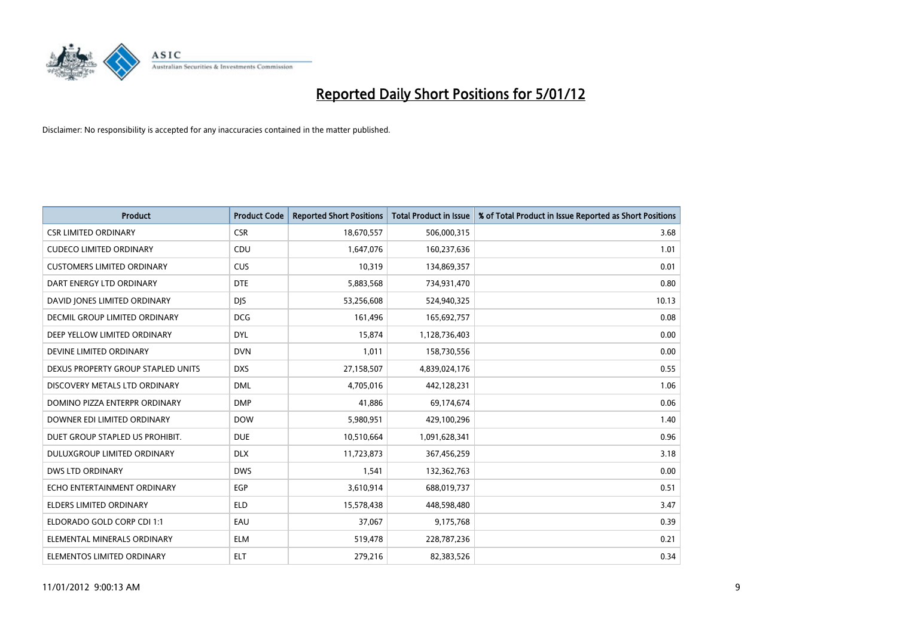

| <b>Product</b>                     | <b>Product Code</b> | <b>Reported Short Positions</b> | <b>Total Product in Issue</b> | % of Total Product in Issue Reported as Short Positions |
|------------------------------------|---------------------|---------------------------------|-------------------------------|---------------------------------------------------------|
| <b>CSR LIMITED ORDINARY</b>        | <b>CSR</b>          | 18,670,557                      | 506,000,315                   | 3.68                                                    |
| <b>CUDECO LIMITED ORDINARY</b>     | CDU                 | 1,647,076                       | 160,237,636                   | 1.01                                                    |
| <b>CUSTOMERS LIMITED ORDINARY</b>  | CUS                 | 10,319                          | 134,869,357                   | 0.01                                                    |
| DART ENERGY LTD ORDINARY           | <b>DTE</b>          | 5,883,568                       | 734,931,470                   | 0.80                                                    |
| DAVID JONES LIMITED ORDINARY       | <b>DJS</b>          | 53,256,608                      | 524,940,325                   | 10.13                                                   |
| DECMIL GROUP LIMITED ORDINARY      | <b>DCG</b>          | 161,496                         | 165,692,757                   | 0.08                                                    |
| DEEP YELLOW LIMITED ORDINARY       | <b>DYL</b>          | 15,874                          | 1,128,736,403                 | 0.00                                                    |
| DEVINE LIMITED ORDINARY            | <b>DVN</b>          | 1,011                           | 158,730,556                   | 0.00                                                    |
| DEXUS PROPERTY GROUP STAPLED UNITS | <b>DXS</b>          | 27,158,507                      | 4,839,024,176                 | 0.55                                                    |
| DISCOVERY METALS LTD ORDINARY      | <b>DML</b>          | 4,705,016                       | 442,128,231                   | 1.06                                                    |
| DOMINO PIZZA ENTERPR ORDINARY      | <b>DMP</b>          | 41,886                          | 69,174,674                    | 0.06                                                    |
| DOWNER EDI LIMITED ORDINARY        | <b>DOW</b>          | 5,980,951                       | 429,100,296                   | 1.40                                                    |
| DUET GROUP STAPLED US PROHIBIT.    | <b>DUE</b>          | 10,510,664                      | 1,091,628,341                 | 0.96                                                    |
| DULUXGROUP LIMITED ORDINARY        | <b>DLX</b>          | 11,723,873                      | 367,456,259                   | 3.18                                                    |
| DWS LTD ORDINARY                   | <b>DWS</b>          | 1,541                           | 132,362,763                   | 0.00                                                    |
| ECHO ENTERTAINMENT ORDINARY        | EGP                 | 3,610,914                       | 688,019,737                   | 0.51                                                    |
| <b>ELDERS LIMITED ORDINARY</b>     | <b>ELD</b>          | 15,578,438                      | 448,598,480                   | 3.47                                                    |
| ELDORADO GOLD CORP CDI 1:1         | EAU                 | 37,067                          | 9,175,768                     | 0.39                                                    |
| ELEMENTAL MINERALS ORDINARY        | <b>ELM</b>          | 519,478                         | 228,787,236                   | 0.21                                                    |
| ELEMENTOS LIMITED ORDINARY         | <b>ELT</b>          | 279.216                         | 82,383,526                    | 0.34                                                    |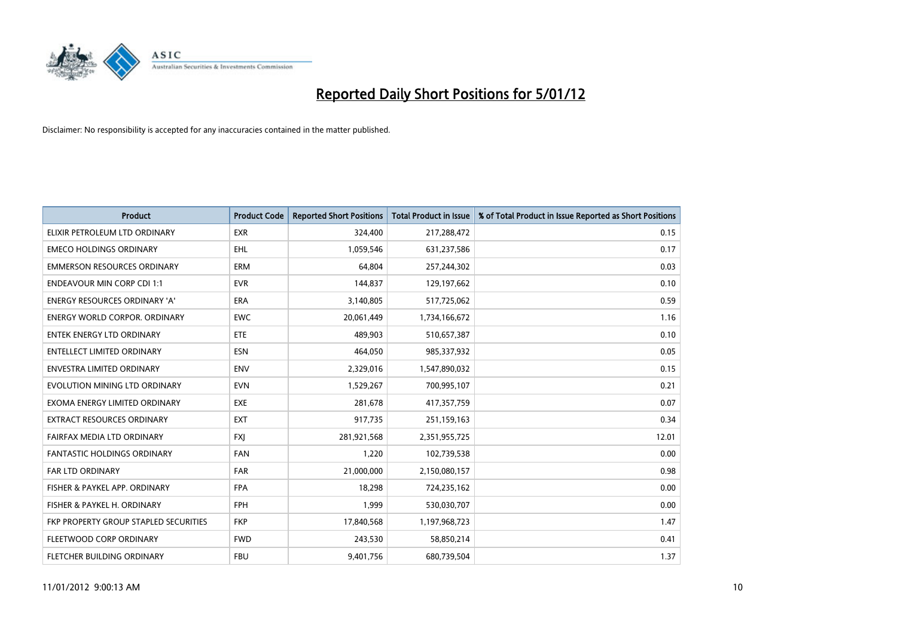

| <b>Product</b>                        | <b>Product Code</b> | <b>Reported Short Positions</b> | <b>Total Product in Issue</b> | % of Total Product in Issue Reported as Short Positions |
|---------------------------------------|---------------------|---------------------------------|-------------------------------|---------------------------------------------------------|
| ELIXIR PETROLEUM LTD ORDINARY         | <b>EXR</b>          | 324,400                         | 217,288,472                   | 0.15                                                    |
| <b>EMECO HOLDINGS ORDINARY</b>        | <b>EHL</b>          | 1,059,546                       | 631,237,586                   | 0.17                                                    |
| <b>EMMERSON RESOURCES ORDINARY</b>    | <b>ERM</b>          | 64.804                          | 257,244,302                   | 0.03                                                    |
| <b>ENDEAVOUR MIN CORP CDI 1:1</b>     | <b>EVR</b>          | 144,837                         | 129,197,662                   | 0.10                                                    |
| <b>ENERGY RESOURCES ORDINARY 'A'</b>  | <b>ERA</b>          | 3,140,805                       | 517,725,062                   | 0.59                                                    |
| <b>ENERGY WORLD CORPOR, ORDINARY</b>  | <b>EWC</b>          | 20,061,449                      | 1,734,166,672                 | 1.16                                                    |
| <b>ENTEK ENERGY LTD ORDINARY</b>      | ETE                 | 489,903                         | 510,657,387                   | 0.10                                                    |
| ENTELLECT LIMITED ORDINARY            | <b>ESN</b>          | 464,050                         | 985,337,932                   | 0.05                                                    |
| <b>ENVESTRA LIMITED ORDINARY</b>      | <b>ENV</b>          | 2,329,016                       | 1,547,890,032                 | 0.15                                                    |
| EVOLUTION MINING LTD ORDINARY         | <b>EVN</b>          | 1,529,267                       | 700,995,107                   | 0.21                                                    |
| EXOMA ENERGY LIMITED ORDINARY         | <b>EXE</b>          | 281,678                         | 417,357,759                   | 0.07                                                    |
| <b>EXTRACT RESOURCES ORDINARY</b>     | <b>EXT</b>          | 917,735                         | 251,159,163                   | 0.34                                                    |
| FAIRFAX MEDIA LTD ORDINARY            | <b>FXI</b>          | 281,921,568                     | 2,351,955,725                 | 12.01                                                   |
| <b>FANTASTIC HOLDINGS ORDINARY</b>    | <b>FAN</b>          | 1,220                           | 102,739,538                   | 0.00                                                    |
| FAR LTD ORDINARY                      | <b>FAR</b>          | 21,000,000                      | 2,150,080,157                 | 0.98                                                    |
| FISHER & PAYKEL APP. ORDINARY         | <b>FPA</b>          | 18,298                          | 724,235,162                   | 0.00                                                    |
| FISHER & PAYKEL H. ORDINARY           | <b>FPH</b>          | 1,999                           | 530,030,707                   | 0.00                                                    |
| FKP PROPERTY GROUP STAPLED SECURITIES | <b>FKP</b>          | 17,840,568                      | 1,197,968,723                 | 1.47                                                    |
| FLEETWOOD CORP ORDINARY               | <b>FWD</b>          | 243,530                         | 58,850,214                    | 0.41                                                    |
| FLETCHER BUILDING ORDINARY            | <b>FBU</b>          | 9,401,756                       | 680,739,504                   | 1.37                                                    |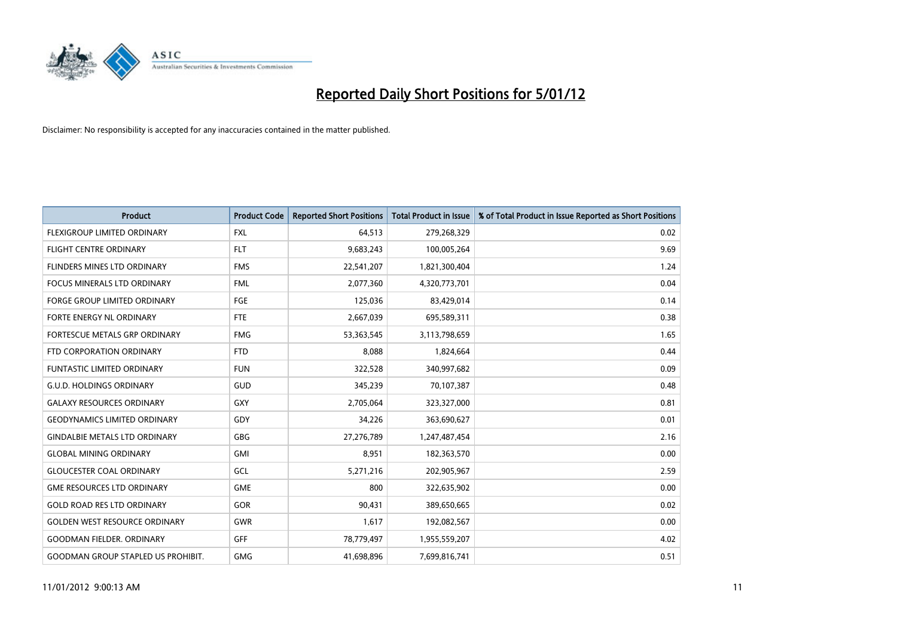

| <b>Product</b>                            | <b>Product Code</b> | <b>Reported Short Positions</b> | <b>Total Product in Issue</b> | % of Total Product in Issue Reported as Short Positions |
|-------------------------------------------|---------------------|---------------------------------|-------------------------------|---------------------------------------------------------|
| <b>FLEXIGROUP LIMITED ORDINARY</b>        | <b>FXL</b>          | 64,513                          | 279,268,329                   | 0.02                                                    |
| <b>FLIGHT CENTRE ORDINARY</b>             | <b>FLT</b>          | 9,683,243                       | 100,005,264                   | 9.69                                                    |
| FLINDERS MINES LTD ORDINARY               | <b>FMS</b>          | 22,541,207                      | 1,821,300,404                 | 1.24                                                    |
| FOCUS MINERALS LTD ORDINARY               | <b>FML</b>          | 2,077,360                       | 4,320,773,701                 | 0.04                                                    |
| <b>FORGE GROUP LIMITED ORDINARY</b>       | FGE                 | 125,036                         | 83,429,014                    | 0.14                                                    |
| FORTE ENERGY NL ORDINARY                  | <b>FTE</b>          | 2,667,039                       | 695,589,311                   | 0.38                                                    |
| <b>FORTESCUE METALS GRP ORDINARY</b>      | <b>FMG</b>          | 53,363,545                      | 3,113,798,659                 | 1.65                                                    |
| FTD CORPORATION ORDINARY                  | <b>FTD</b>          | 8,088                           | 1,824,664                     | 0.44                                                    |
| FUNTASTIC LIMITED ORDINARY                | <b>FUN</b>          | 322,528                         | 340,997,682                   | 0.09                                                    |
| <b>G.U.D. HOLDINGS ORDINARY</b>           | <b>GUD</b>          | 345,239                         | 70,107,387                    | 0.48                                                    |
| <b>GALAXY RESOURCES ORDINARY</b>          | GXY                 | 2,705,064                       | 323,327,000                   | 0.81                                                    |
| <b>GEODYNAMICS LIMITED ORDINARY</b>       | GDY                 | 34,226                          | 363,690,627                   | 0.01                                                    |
| <b>GINDALBIE METALS LTD ORDINARY</b>      | <b>GBG</b>          | 27,276,789                      | 1,247,487,454                 | 2.16                                                    |
| <b>GLOBAL MINING ORDINARY</b>             | GMI                 | 8.951                           | 182,363,570                   | 0.00                                                    |
| <b>GLOUCESTER COAL ORDINARY</b>           | GCL                 | 5,271,216                       | 202,905,967                   | 2.59                                                    |
| <b>GME RESOURCES LTD ORDINARY</b>         | <b>GME</b>          | 800                             | 322,635,902                   | 0.00                                                    |
| <b>GOLD ROAD RES LTD ORDINARY</b>         | GOR                 | 90,431                          | 389,650,665                   | 0.02                                                    |
| <b>GOLDEN WEST RESOURCE ORDINARY</b>      | <b>GWR</b>          | 1,617                           | 192,082,567                   | 0.00                                                    |
| <b>GOODMAN FIELDER, ORDINARY</b>          | <b>GFF</b>          | 78,779,497                      | 1,955,559,207                 | 4.02                                                    |
| <b>GOODMAN GROUP STAPLED US PROHIBIT.</b> | <b>GMG</b>          | 41.698.896                      | 7.699.816.741                 | 0.51                                                    |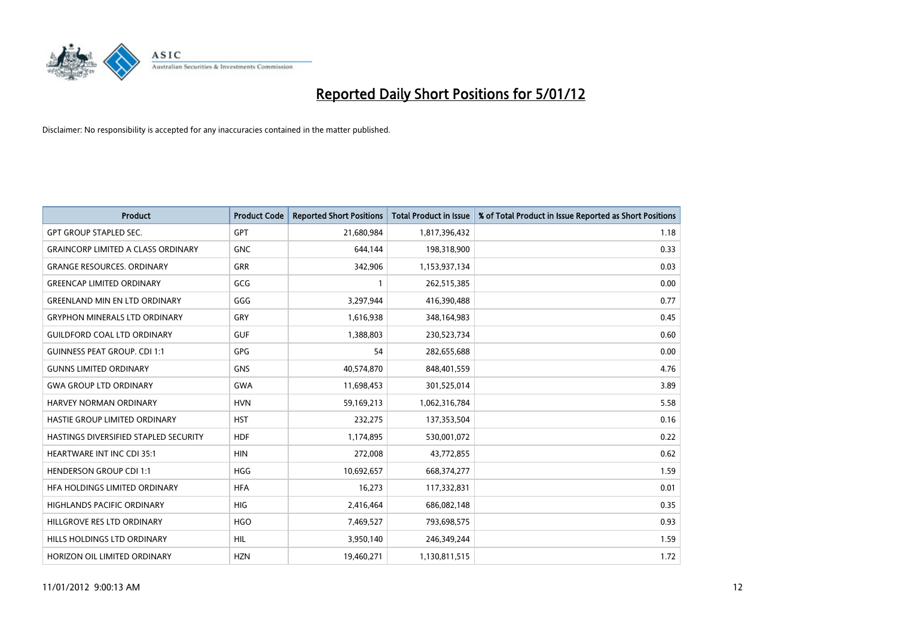

| <b>Product</b>                               | <b>Product Code</b> | <b>Reported Short Positions</b> | <b>Total Product in Issue</b> | % of Total Product in Issue Reported as Short Positions |
|----------------------------------------------|---------------------|---------------------------------|-------------------------------|---------------------------------------------------------|
| <b>GPT GROUP STAPLED SEC.</b>                | GPT                 | 21,680,984                      | 1,817,396,432                 | 1.18                                                    |
| <b>GRAINCORP LIMITED A CLASS ORDINARY</b>    | <b>GNC</b>          | 644,144                         | 198,318,900                   | 0.33                                                    |
| <b>GRANGE RESOURCES, ORDINARY</b>            | <b>GRR</b>          | 342,906                         | 1,153,937,134                 | 0.03                                                    |
| <b>GREENCAP LIMITED ORDINARY</b>             | GCG                 | 1                               | 262,515,385                   | 0.00                                                    |
| <b>GREENLAND MIN EN LTD ORDINARY</b>         | GGG                 | 3,297,944                       | 416,390,488                   | 0.77                                                    |
| <b>GRYPHON MINERALS LTD ORDINARY</b>         | GRY                 | 1,616,938                       | 348,164,983                   | 0.45                                                    |
| <b>GUILDFORD COAL LTD ORDINARY</b>           | <b>GUF</b>          | 1,388,803                       | 230,523,734                   | 0.60                                                    |
| <b>GUINNESS PEAT GROUP. CDI 1:1</b>          | GPG                 | 54                              | 282,655,688                   | 0.00                                                    |
| <b>GUNNS LIMITED ORDINARY</b>                | <b>GNS</b>          | 40,574,870                      | 848,401,559                   | 4.76                                                    |
| <b>GWA GROUP LTD ORDINARY</b>                | <b>GWA</b>          | 11,698,453                      | 301,525,014                   | 3.89                                                    |
| <b>HARVEY NORMAN ORDINARY</b>                | <b>HVN</b>          | 59,169,213                      | 1,062,316,784                 | 5.58                                                    |
| HASTIE GROUP LIMITED ORDINARY                | <b>HST</b>          | 232,275                         | 137,353,504                   | 0.16                                                    |
| <b>HASTINGS DIVERSIFIED STAPLED SECURITY</b> | <b>HDF</b>          | 1,174,895                       | 530,001,072                   | 0.22                                                    |
| <b>HEARTWARE INT INC CDI 35:1</b>            | <b>HIN</b>          | 272,008                         | 43,772,855                    | 0.62                                                    |
| <b>HENDERSON GROUP CDI 1:1</b>               | <b>HGG</b>          | 10,692,657                      | 668,374,277                   | 1.59                                                    |
| HFA HOLDINGS LIMITED ORDINARY                | <b>HFA</b>          | 16,273                          | 117,332,831                   | 0.01                                                    |
| <b>HIGHLANDS PACIFIC ORDINARY</b>            | <b>HIG</b>          | 2,416,464                       | 686,082,148                   | 0.35                                                    |
| HILLGROVE RES LTD ORDINARY                   | <b>HGO</b>          | 7,469,527                       | 793,698,575                   | 0.93                                                    |
| <b>HILLS HOLDINGS LTD ORDINARY</b>           | <b>HIL</b>          | 3,950,140                       | 246,349,244                   | 1.59                                                    |
| HORIZON OIL LIMITED ORDINARY                 | <b>HZN</b>          | 19,460,271                      | 1,130,811,515                 | 1.72                                                    |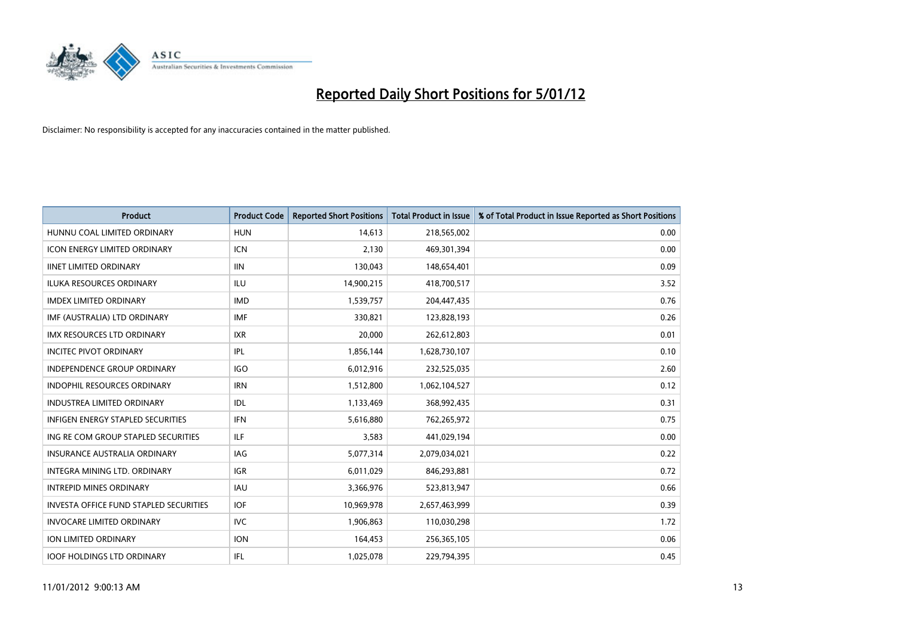

| <b>Product</b>                                | <b>Product Code</b> | <b>Reported Short Positions</b> | <b>Total Product in Issue</b> | % of Total Product in Issue Reported as Short Positions |
|-----------------------------------------------|---------------------|---------------------------------|-------------------------------|---------------------------------------------------------|
| HUNNU COAL LIMITED ORDINARY                   | <b>HUN</b>          | 14,613                          | 218,565,002                   | 0.00                                                    |
| ICON ENERGY LIMITED ORDINARY                  | <b>ICN</b>          | 2,130                           | 469,301,394                   | 0.00                                                    |
| <b>IINET LIMITED ORDINARY</b>                 | <b>IIN</b>          | 130,043                         | 148,654,401                   | 0.09                                                    |
| ILUKA RESOURCES ORDINARY                      | ILU                 | 14,900,215                      | 418,700,517                   | 3.52                                                    |
| <b>IMDEX LIMITED ORDINARY</b>                 | <b>IMD</b>          | 1,539,757                       | 204,447,435                   | 0.76                                                    |
| IMF (AUSTRALIA) LTD ORDINARY                  | <b>IMF</b>          | 330,821                         | 123,828,193                   | 0.26                                                    |
| <b>IMX RESOURCES LTD ORDINARY</b>             | <b>IXR</b>          | 20.000                          | 262,612,803                   | 0.01                                                    |
| <b>INCITEC PIVOT ORDINARY</b>                 | IPL                 | 1,856,144                       | 1,628,730,107                 | 0.10                                                    |
| INDEPENDENCE GROUP ORDINARY                   | <b>IGO</b>          | 6,012,916                       | 232,525,035                   | 2.60                                                    |
| <b>INDOPHIL RESOURCES ORDINARY</b>            | <b>IRN</b>          | 1,512,800                       | 1,062,104,527                 | 0.12                                                    |
| <b>INDUSTREA LIMITED ORDINARY</b>             | IDL                 | 1,133,469                       | 368,992,435                   | 0.31                                                    |
| <b>INFIGEN ENERGY STAPLED SECURITIES</b>      | <b>IFN</b>          | 5,616,880                       | 762,265,972                   | 0.75                                                    |
| ING RE COM GROUP STAPLED SECURITIES           | <b>ILF</b>          | 3,583                           | 441,029,194                   | 0.00                                                    |
| <b>INSURANCE AUSTRALIA ORDINARY</b>           | IAG                 | 5,077,314                       | 2,079,034,021                 | 0.22                                                    |
| <b>INTEGRA MINING LTD, ORDINARY</b>           | <b>IGR</b>          | 6,011,029                       | 846,293,881                   | 0.72                                                    |
| <b>INTREPID MINES ORDINARY</b>                | <b>IAU</b>          | 3,366,976                       | 523,813,947                   | 0.66                                                    |
| <b>INVESTA OFFICE FUND STAPLED SECURITIES</b> | <b>IOF</b>          | 10,969,978                      | 2,657,463,999                 | 0.39                                                    |
| <b>INVOCARE LIMITED ORDINARY</b>              | IVC                 | 1,906,863                       | 110,030,298                   | 1.72                                                    |
| <b>ION LIMITED ORDINARY</b>                   | <b>ION</b>          | 164,453                         | 256,365,105                   | 0.06                                                    |
| <b>IOOF HOLDINGS LTD ORDINARY</b>             | <b>IFL</b>          | 1,025,078                       | 229.794.395                   | 0.45                                                    |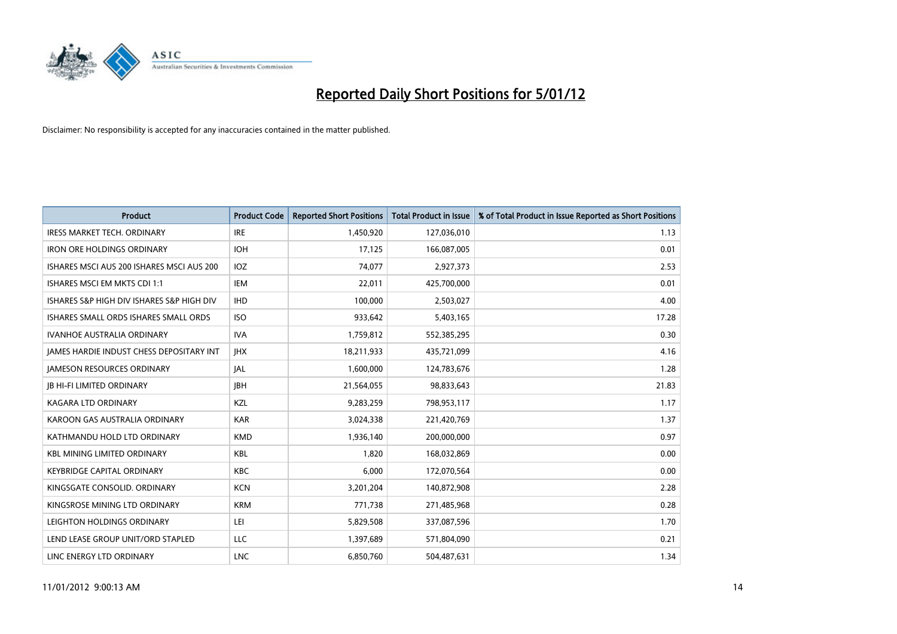

| <b>Product</b>                                  | <b>Product Code</b> | <b>Reported Short Positions</b> | <b>Total Product in Issue</b> | % of Total Product in Issue Reported as Short Positions |
|-------------------------------------------------|---------------------|---------------------------------|-------------------------------|---------------------------------------------------------|
| <b>IRESS MARKET TECH. ORDINARY</b>              | <b>IRE</b>          | 1,450,920                       | 127,036,010                   | 1.13                                                    |
| <b>IRON ORE HOLDINGS ORDINARY</b>               | <b>IOH</b>          | 17,125                          | 166,087,005                   | 0.01                                                    |
| ISHARES MSCI AUS 200 ISHARES MSCI AUS 200       | <b>IOZ</b>          | 74,077                          | 2,927,373                     | 2.53                                                    |
| ISHARES MSCI EM MKTS CDI 1:1                    | <b>IEM</b>          | 22,011                          | 425,700,000                   | 0.01                                                    |
| ISHARES S&P HIGH DIV ISHARES S&P HIGH DIV       | <b>IHD</b>          | 100,000                         | 2,503,027                     | 4.00                                                    |
| ISHARES SMALL ORDS ISHARES SMALL ORDS           | <b>ISO</b>          | 933,642                         | 5,403,165                     | 17.28                                                   |
| <b>IVANHOE AUSTRALIA ORDINARY</b>               | <b>IVA</b>          | 1,759,812                       | 552,385,295                   | 0.30                                                    |
| <b>JAMES HARDIE INDUST CHESS DEPOSITARY INT</b> | <b>IHX</b>          | 18,211,933                      | 435,721,099                   | 4.16                                                    |
| <b>JAMESON RESOURCES ORDINARY</b>               | <b>JAL</b>          | 1,600,000                       | 124,783,676                   | 1.28                                                    |
| <b>JB HI-FI LIMITED ORDINARY</b>                | <b>IBH</b>          | 21,564,055                      | 98,833,643                    | 21.83                                                   |
| <b>KAGARA LTD ORDINARY</b>                      | KZL                 | 9,283,259                       | 798,953,117                   | 1.17                                                    |
| KAROON GAS AUSTRALIA ORDINARY                   | <b>KAR</b>          | 3,024,338                       | 221,420,769                   | 1.37                                                    |
| KATHMANDU HOLD LTD ORDINARY                     | <b>KMD</b>          | 1,936,140                       | 200,000,000                   | 0.97                                                    |
| <b>KBL MINING LIMITED ORDINARY</b>              | <b>KBL</b>          | 1,820                           | 168,032,869                   | 0.00                                                    |
| <b>KEYBRIDGE CAPITAL ORDINARY</b>               | <b>KBC</b>          | 6.000                           | 172,070,564                   | 0.00                                                    |
| KINGSGATE CONSOLID, ORDINARY                    | <b>KCN</b>          | 3,201,204                       | 140,872,908                   | 2.28                                                    |
| KINGSROSE MINING LTD ORDINARY                   | <b>KRM</b>          | 771,738                         | 271,485,968                   | 0.28                                                    |
| LEIGHTON HOLDINGS ORDINARY                      | LEI                 | 5,829,508                       | 337,087,596                   | 1.70                                                    |
| LEND LEASE GROUP UNIT/ORD STAPLED               | LLC                 | 1,397,689                       | 571,804,090                   | 0.21                                                    |
| LINC ENERGY LTD ORDINARY                        | <b>LNC</b>          | 6.850.760                       | 504,487,631                   | 1.34                                                    |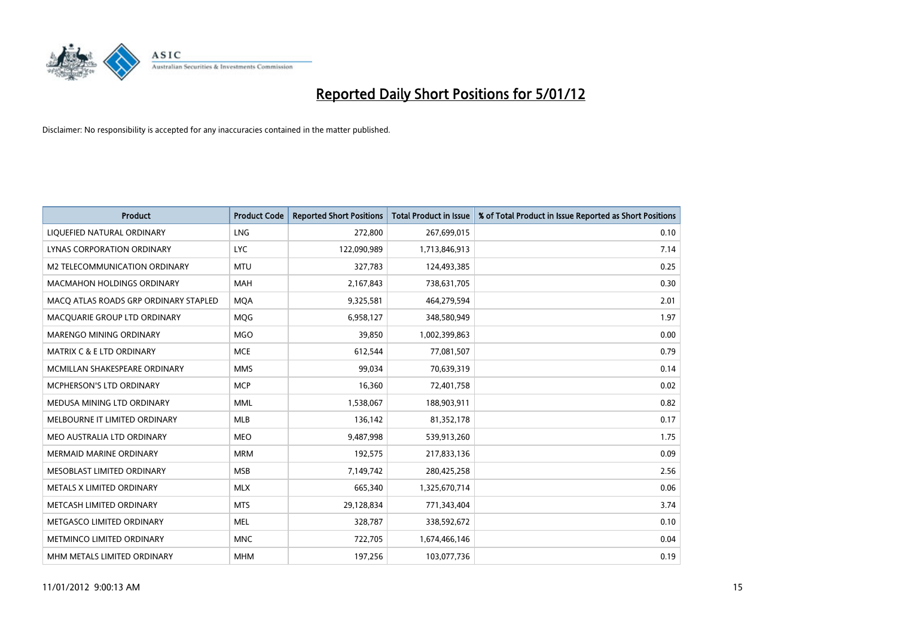

| <b>Product</b>                        | <b>Product Code</b> | <b>Reported Short Positions</b> | <b>Total Product in Issue</b> | % of Total Product in Issue Reported as Short Positions |
|---------------------------------------|---------------------|---------------------------------|-------------------------------|---------------------------------------------------------|
| LIQUEFIED NATURAL ORDINARY            | LNG                 | 272,800                         | 267,699,015                   | 0.10                                                    |
| LYNAS CORPORATION ORDINARY            | <b>LYC</b>          | 122,090,989                     | 1,713,846,913                 | 7.14                                                    |
| M2 TELECOMMUNICATION ORDINARY         | <b>MTU</b>          | 327,783                         | 124,493,385                   | 0.25                                                    |
| <b>MACMAHON HOLDINGS ORDINARY</b>     | <b>MAH</b>          | 2,167,843                       | 738,631,705                   | 0.30                                                    |
| MACO ATLAS ROADS GRP ORDINARY STAPLED | <b>MOA</b>          | 9,325,581                       | 464,279,594                   | 2.01                                                    |
| MACQUARIE GROUP LTD ORDINARY          | <b>MOG</b>          | 6,958,127                       | 348,580,949                   | 1.97                                                    |
| <b>MARENGO MINING ORDINARY</b>        | <b>MGO</b>          | 39,850                          | 1,002,399,863                 | 0.00                                                    |
| MATRIX C & E LTD ORDINARY             | <b>MCE</b>          | 612,544                         | 77,081,507                    | 0.79                                                    |
| MCMILLAN SHAKESPEARE ORDINARY         | <b>MMS</b>          | 99,034                          | 70,639,319                    | 0.14                                                    |
| <b>MCPHERSON'S LTD ORDINARY</b>       | <b>MCP</b>          | 16,360                          | 72,401,758                    | 0.02                                                    |
| MEDUSA MINING LTD ORDINARY            | <b>MML</b>          | 1,538,067                       | 188,903,911                   | 0.82                                                    |
| MELBOURNE IT LIMITED ORDINARY         | <b>MLB</b>          | 136,142                         | 81,352,178                    | 0.17                                                    |
| MEO AUSTRALIA LTD ORDINARY            | <b>MEO</b>          | 9,487,998                       | 539,913,260                   | 1.75                                                    |
| <b>MERMAID MARINE ORDINARY</b>        | <b>MRM</b>          | 192,575                         | 217,833,136                   | 0.09                                                    |
| MESOBLAST LIMITED ORDINARY            | <b>MSB</b>          | 7,149,742                       | 280,425,258                   | 2.56                                                    |
| METALS X LIMITED ORDINARY             | <b>MLX</b>          | 665,340                         | 1,325,670,714                 | 0.06                                                    |
| METCASH LIMITED ORDINARY              | <b>MTS</b>          | 29,128,834                      | 771,343,404                   | 3.74                                                    |
| METGASCO LIMITED ORDINARY             | <b>MEL</b>          | 328,787                         | 338,592,672                   | 0.10                                                    |
| METMINCO LIMITED ORDINARY             | <b>MNC</b>          | 722,705                         | 1,674,466,146                 | 0.04                                                    |
| MHM METALS LIMITED ORDINARY           | <b>MHM</b>          | 197,256                         | 103,077,736                   | 0.19                                                    |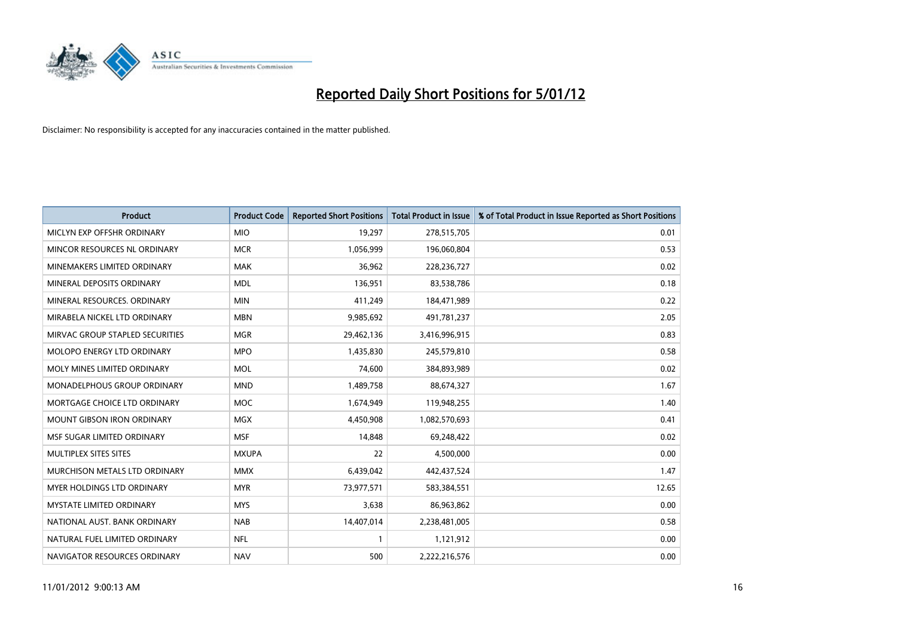

| <b>Product</b>                       | <b>Product Code</b> | <b>Reported Short Positions</b> | <b>Total Product in Issue</b> | % of Total Product in Issue Reported as Short Positions |
|--------------------------------------|---------------------|---------------------------------|-------------------------------|---------------------------------------------------------|
| MICLYN EXP OFFSHR ORDINARY           | <b>MIO</b>          | 19,297                          | 278,515,705                   | 0.01                                                    |
| MINCOR RESOURCES NL ORDINARY         | <b>MCR</b>          | 1,056,999                       | 196,060,804                   | 0.53                                                    |
| MINEMAKERS LIMITED ORDINARY          | <b>MAK</b>          | 36,962                          | 228,236,727                   | 0.02                                                    |
| MINERAL DEPOSITS ORDINARY            | <b>MDL</b>          | 136,951                         | 83,538,786                    | 0.18                                                    |
| MINERAL RESOURCES, ORDINARY          | <b>MIN</b>          | 411,249                         | 184,471,989                   | 0.22                                                    |
| MIRABELA NICKEL LTD ORDINARY         | <b>MBN</b>          | 9,985,692                       | 491,781,237                   | 2.05                                                    |
| MIRVAC GROUP STAPLED SECURITIES      | <b>MGR</b>          | 29,462,136                      | 3,416,996,915                 | 0.83                                                    |
| MOLOPO ENERGY LTD ORDINARY           | <b>MPO</b>          | 1,435,830                       | 245,579,810                   | 0.58                                                    |
| MOLY MINES LIMITED ORDINARY          | <b>MOL</b>          | 74,600                          | 384,893,989                   | 0.02                                                    |
| <b>MONADELPHOUS GROUP ORDINARY</b>   | <b>MND</b>          | 1,489,758                       | 88,674,327                    | 1.67                                                    |
| MORTGAGE CHOICE LTD ORDINARY         | <b>MOC</b>          | 1,674,949                       | 119,948,255                   | 1.40                                                    |
| <b>MOUNT GIBSON IRON ORDINARY</b>    | <b>MGX</b>          | 4,450,908                       | 1,082,570,693                 | 0.41                                                    |
| MSF SUGAR LIMITED ORDINARY           | <b>MSF</b>          | 14,848                          | 69,248,422                    | 0.02                                                    |
| MULTIPLEX SITES SITES                | <b>MXUPA</b>        | 22                              | 4,500,000                     | 0.00                                                    |
| <b>MURCHISON METALS LTD ORDINARY</b> | <b>MMX</b>          | 6,439,042                       | 442,437,524                   | 1.47                                                    |
| <b>MYER HOLDINGS LTD ORDINARY</b>    | <b>MYR</b>          | 73,977,571                      | 583,384,551                   | 12.65                                                   |
| MYSTATE LIMITED ORDINARY             | <b>MYS</b>          | 3,638                           | 86,963,862                    | 0.00                                                    |
| NATIONAL AUST. BANK ORDINARY         | <b>NAB</b>          | 14,407,014                      | 2,238,481,005                 | 0.58                                                    |
| NATURAL FUEL LIMITED ORDINARY        | <b>NFL</b>          |                                 | 1,121,912                     | 0.00                                                    |
| NAVIGATOR RESOURCES ORDINARY         | <b>NAV</b>          | 500                             | 2,222,216,576                 | 0.00                                                    |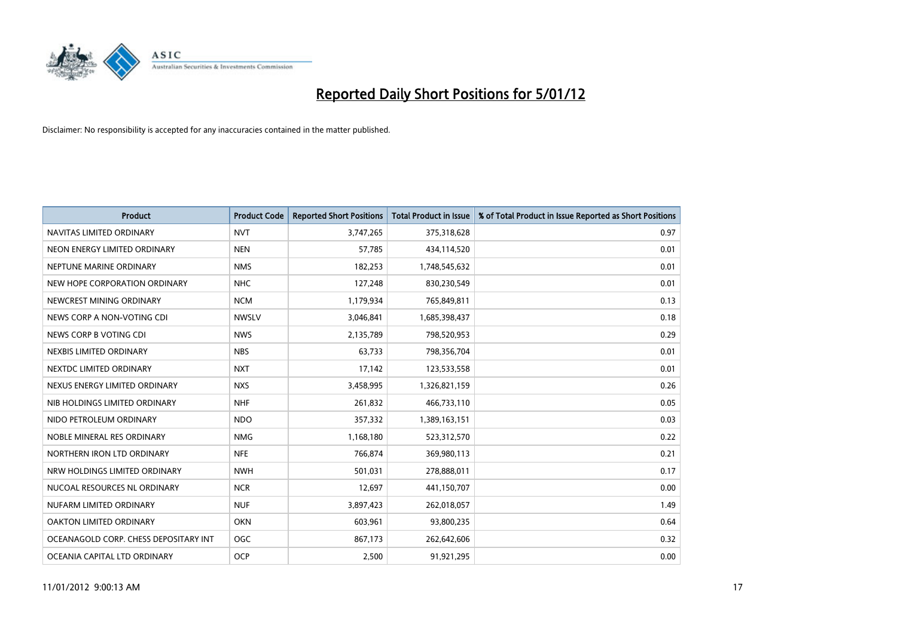

| <b>Product</b>                        | <b>Product Code</b> | <b>Reported Short Positions</b> | <b>Total Product in Issue</b> | % of Total Product in Issue Reported as Short Positions |
|---------------------------------------|---------------------|---------------------------------|-------------------------------|---------------------------------------------------------|
| NAVITAS LIMITED ORDINARY              | <b>NVT</b>          | 3,747,265                       | 375,318,628                   | 0.97                                                    |
| NEON ENERGY LIMITED ORDINARY          | <b>NEN</b>          | 57,785                          | 434,114,520                   | 0.01                                                    |
| NEPTUNE MARINE ORDINARY               | <b>NMS</b>          | 182,253                         | 1,748,545,632                 | 0.01                                                    |
| NEW HOPE CORPORATION ORDINARY         | <b>NHC</b>          | 127,248                         | 830,230,549                   | 0.01                                                    |
| NEWCREST MINING ORDINARY              | <b>NCM</b>          | 1,179,934                       | 765,849,811                   | 0.13                                                    |
| NEWS CORP A NON-VOTING CDI            | <b>NWSLV</b>        | 3,046,841                       | 1,685,398,437                 | 0.18                                                    |
| NEWS CORP B VOTING CDI                | <b>NWS</b>          | 2,135,789                       | 798,520,953                   | 0.29                                                    |
| NEXBIS LIMITED ORDINARY               | <b>NBS</b>          | 63,733                          | 798,356,704                   | 0.01                                                    |
| NEXTDC LIMITED ORDINARY               | <b>NXT</b>          | 17,142                          | 123,533,558                   | 0.01                                                    |
| NEXUS ENERGY LIMITED ORDINARY         | <b>NXS</b>          | 3,458,995                       | 1,326,821,159                 | 0.26                                                    |
| NIB HOLDINGS LIMITED ORDINARY         | <b>NHF</b>          | 261,832                         | 466,733,110                   | 0.05                                                    |
| NIDO PETROLEUM ORDINARY               | <b>NDO</b>          | 357,332                         | 1,389,163,151                 | 0.03                                                    |
| NOBLE MINERAL RES ORDINARY            | <b>NMG</b>          | 1,168,180                       | 523,312,570                   | 0.22                                                    |
| NORTHERN IRON LTD ORDINARY            | <b>NFE</b>          | 766,874                         | 369,980,113                   | 0.21                                                    |
| NRW HOLDINGS LIMITED ORDINARY         | <b>NWH</b>          | 501,031                         | 278,888,011                   | 0.17                                                    |
| NUCOAL RESOURCES NL ORDINARY          | <b>NCR</b>          | 12,697                          | 441,150,707                   | 0.00                                                    |
| NUFARM LIMITED ORDINARY               | <b>NUF</b>          | 3,897,423                       | 262,018,057                   | 1.49                                                    |
| OAKTON LIMITED ORDINARY               | <b>OKN</b>          | 603,961                         | 93,800,235                    | 0.64                                                    |
| OCEANAGOLD CORP. CHESS DEPOSITARY INT | <b>OGC</b>          | 867,173                         | 262,642,606                   | 0.32                                                    |
| OCEANIA CAPITAL LTD ORDINARY          | <b>OCP</b>          | 2,500                           | 91,921,295                    | 0.00                                                    |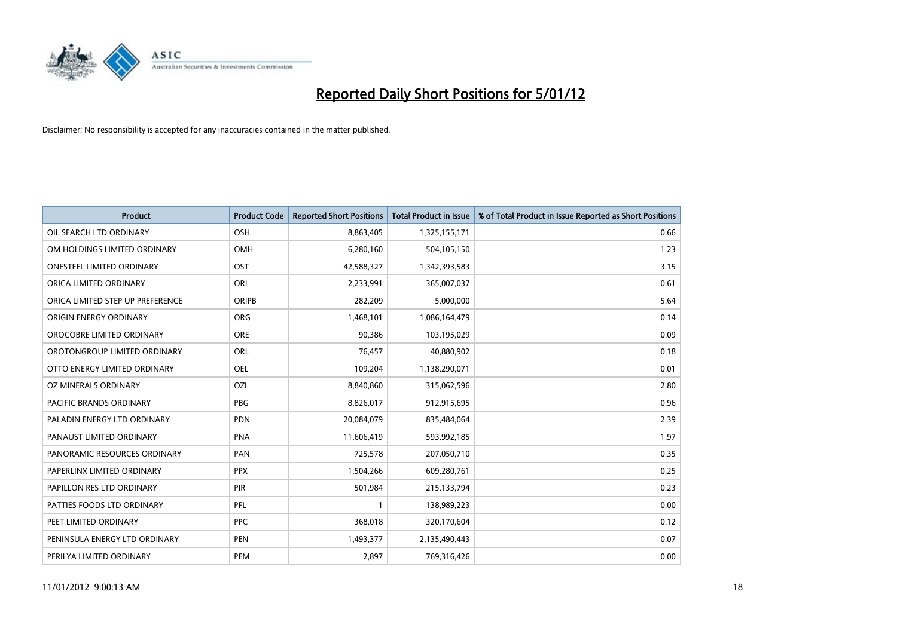

| <b>Product</b>                   | <b>Product Code</b> | <b>Reported Short Positions</b> | <b>Total Product in Issue</b> | % of Total Product in Issue Reported as Short Positions |
|----------------------------------|---------------------|---------------------------------|-------------------------------|---------------------------------------------------------|
| OIL SEARCH LTD ORDINARY          | <b>OSH</b>          | 8,863,405                       | 1,325,155,171                 | 0.66                                                    |
| OM HOLDINGS LIMITED ORDINARY     | <b>OMH</b>          | 6,280,160                       | 504,105,150                   | 1.23                                                    |
| <b>ONESTEEL LIMITED ORDINARY</b> | OST                 | 42,588,327                      | 1,342,393,583                 | 3.15                                                    |
| ORICA LIMITED ORDINARY           | ORI                 | 2,233,991                       | 365,007,037                   | 0.61                                                    |
| ORICA LIMITED STEP UP PREFERENCE | <b>ORIPB</b>        | 282,209                         | 5,000,000                     | 5.64                                                    |
| ORIGIN ENERGY ORDINARY           | <b>ORG</b>          | 1,468,101                       | 1,086,164,479                 | 0.14                                                    |
| OROCOBRE LIMITED ORDINARY        | <b>ORE</b>          | 90.386                          | 103,195,029                   | 0.09                                                    |
| OROTONGROUP LIMITED ORDINARY     | <b>ORL</b>          | 76,457                          | 40,880,902                    | 0.18                                                    |
| OTTO ENERGY LIMITED ORDINARY     | OEL                 | 109,204                         | 1,138,290,071                 | 0.01                                                    |
| OZ MINERALS ORDINARY             | OZL                 | 8,840,860                       | 315,062,596                   | 2.80                                                    |
| <b>PACIFIC BRANDS ORDINARY</b>   | <b>PBG</b>          | 8,826,017                       | 912,915,695                   | 0.96                                                    |
| PALADIN ENERGY LTD ORDINARY      | <b>PDN</b>          | 20,084,079                      | 835,484,064                   | 2.39                                                    |
| PANAUST LIMITED ORDINARY         | <b>PNA</b>          | 11,606,419                      | 593,992,185                   | 1.97                                                    |
| PANORAMIC RESOURCES ORDINARY     | PAN                 | 725,578                         | 207,050,710                   | 0.35                                                    |
| PAPERLINX LIMITED ORDINARY       | <b>PPX</b>          | 1,504,266                       | 609,280,761                   | 0.25                                                    |
| PAPILLON RES LTD ORDINARY        | PIR                 | 501,984                         | 215,133,794                   | 0.23                                                    |
| PATTIES FOODS LTD ORDINARY       | PFL                 |                                 | 138,989,223                   | 0.00                                                    |
| PEET LIMITED ORDINARY            | <b>PPC</b>          | 368,018                         | 320,170,604                   | 0.12                                                    |
| PENINSULA ENERGY LTD ORDINARY    | <b>PEN</b>          | 1,493,377                       | 2,135,490,443                 | 0.07                                                    |
| PERILYA LIMITED ORDINARY         | PEM                 | 2.897                           | 769,316,426                   | 0.00                                                    |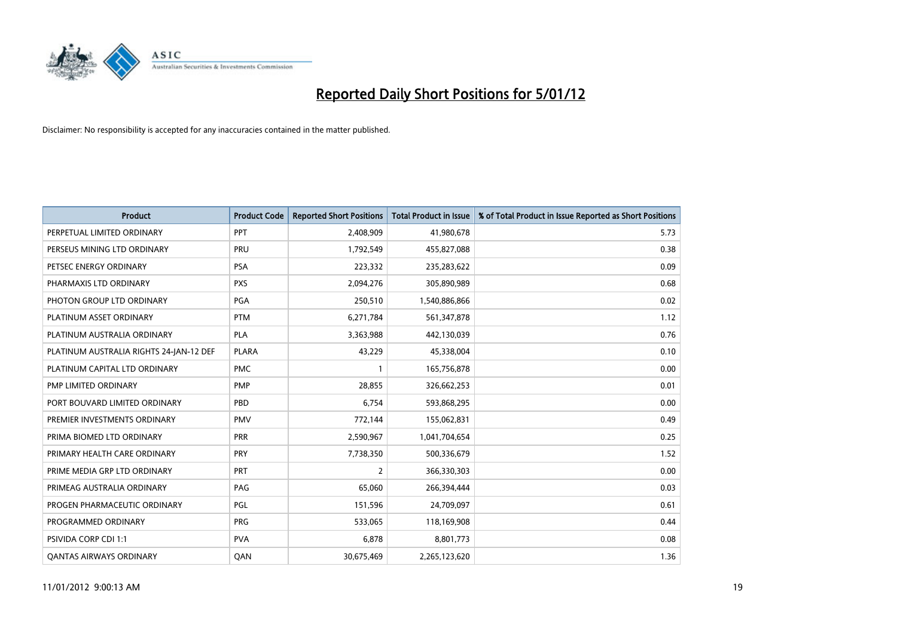

| <b>Product</b>                          | <b>Product Code</b> | <b>Reported Short Positions</b> | <b>Total Product in Issue</b> | % of Total Product in Issue Reported as Short Positions |
|-----------------------------------------|---------------------|---------------------------------|-------------------------------|---------------------------------------------------------|
| PERPETUAL LIMITED ORDINARY              | PPT                 | 2,408,909                       | 41,980,678                    | 5.73                                                    |
| PERSEUS MINING LTD ORDINARY             | PRU                 | 1,792,549                       | 455,827,088                   | 0.38                                                    |
| PETSEC ENERGY ORDINARY                  | <b>PSA</b>          | 223,332                         | 235,283,622                   | 0.09                                                    |
| PHARMAXIS LTD ORDINARY                  | <b>PXS</b>          | 2,094,276                       | 305,890,989                   | 0.68                                                    |
| PHOTON GROUP LTD ORDINARY               | PGA                 | 250,510                         | 1,540,886,866                 | 0.02                                                    |
| PLATINUM ASSET ORDINARY                 | <b>PTM</b>          | 6,271,784                       | 561,347,878                   | 1.12                                                    |
| PLATINUM AUSTRALIA ORDINARY             | <b>PLA</b>          | 3,363,988                       | 442,130,039                   | 0.76                                                    |
| PLATINUM AUSTRALIA RIGHTS 24-JAN-12 DEF | <b>PLARA</b>        | 43,229                          | 45,338,004                    | 0.10                                                    |
| PLATINUM CAPITAL LTD ORDINARY           | <b>PMC</b>          |                                 | 165,756,878                   | 0.00                                                    |
| PMP LIMITED ORDINARY                    | <b>PMP</b>          | 28,855                          | 326,662,253                   | 0.01                                                    |
| PORT BOUVARD LIMITED ORDINARY           | PBD                 | 6,754                           | 593,868,295                   | 0.00                                                    |
| PREMIER INVESTMENTS ORDINARY            | <b>PMV</b>          | 772,144                         | 155,062,831                   | 0.49                                                    |
| PRIMA BIOMED LTD ORDINARY               | <b>PRR</b>          | 2,590,967                       | 1,041,704,654                 | 0.25                                                    |
| PRIMARY HEALTH CARE ORDINARY            | <b>PRY</b>          | 7,738,350                       | 500,336,679                   | 1.52                                                    |
| PRIME MEDIA GRP LTD ORDINARY            | PRT                 | 2                               | 366,330,303                   | 0.00                                                    |
| PRIMEAG AUSTRALIA ORDINARY              | PAG                 | 65,060                          | 266,394,444                   | 0.03                                                    |
| PROGEN PHARMACEUTIC ORDINARY            | PGL                 | 151,596                         | 24,709,097                    | 0.61                                                    |
| PROGRAMMED ORDINARY                     | <b>PRG</b>          | 533,065                         | 118,169,908                   | 0.44                                                    |
| PSIVIDA CORP CDI 1:1                    | <b>PVA</b>          | 6,878                           | 8,801,773                     | 0.08                                                    |
| <b>QANTAS AIRWAYS ORDINARY</b>          | QAN                 | 30,675,469                      | 2,265,123,620                 | 1.36                                                    |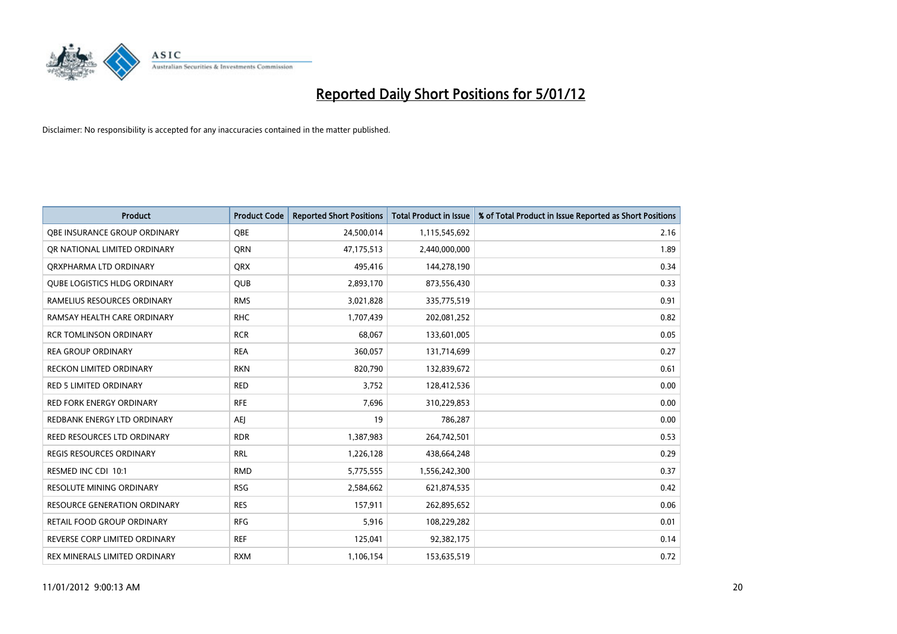

| <b>Product</b>                      | <b>Product Code</b> | <b>Reported Short Positions</b> | <b>Total Product in Issue</b> | % of Total Product in Issue Reported as Short Positions |
|-------------------------------------|---------------------|---------------------------------|-------------------------------|---------------------------------------------------------|
| OBE INSURANCE GROUP ORDINARY        | <b>OBE</b>          | 24,500,014                      | 1,115,545,692                 | 2.16                                                    |
| OR NATIONAL LIMITED ORDINARY        | <b>ORN</b>          | 47,175,513                      | 2,440,000,000                 | 1.89                                                    |
| QRXPHARMA LTD ORDINARY              | <b>QRX</b>          | 495,416                         | 144,278,190                   | 0.34                                                    |
| <b>QUBE LOGISTICS HLDG ORDINARY</b> | QUB                 | 2,893,170                       | 873,556,430                   | 0.33                                                    |
| RAMELIUS RESOURCES ORDINARY         | <b>RMS</b>          | 3,021,828                       | 335,775,519                   | 0.91                                                    |
| RAMSAY HEALTH CARE ORDINARY         | <b>RHC</b>          | 1,707,439                       | 202,081,252                   | 0.82                                                    |
| <b>RCR TOMLINSON ORDINARY</b>       | <b>RCR</b>          | 68,067                          | 133,601,005                   | 0.05                                                    |
| <b>REA GROUP ORDINARY</b>           | <b>REA</b>          | 360,057                         | 131,714,699                   | 0.27                                                    |
| RECKON LIMITED ORDINARY             | <b>RKN</b>          | 820,790                         | 132,839,672                   | 0.61                                                    |
| <b>RED 5 LIMITED ORDINARY</b>       | <b>RED</b>          | 3,752                           | 128,412,536                   | 0.00                                                    |
| <b>RED FORK ENERGY ORDINARY</b>     | <b>RFE</b>          | 7,696                           | 310,229,853                   | 0.00                                                    |
| REDBANK ENERGY LTD ORDINARY         | AEI                 | 19                              | 786,287                       | 0.00                                                    |
| REED RESOURCES LTD ORDINARY         | <b>RDR</b>          | 1,387,983                       | 264,742,501                   | 0.53                                                    |
| <b>REGIS RESOURCES ORDINARY</b>     | <b>RRL</b>          | 1,226,128                       | 438,664,248                   | 0.29                                                    |
| RESMED INC CDI 10:1                 | <b>RMD</b>          | 5,775,555                       | 1,556,242,300                 | 0.37                                                    |
| <b>RESOLUTE MINING ORDINARY</b>     | <b>RSG</b>          | 2,584,662                       | 621,874,535                   | 0.42                                                    |
| <b>RESOURCE GENERATION ORDINARY</b> | <b>RES</b>          | 157,911                         | 262,895,652                   | 0.06                                                    |
| RETAIL FOOD GROUP ORDINARY          | <b>RFG</b>          | 5,916                           | 108,229,282                   | 0.01                                                    |
| REVERSE CORP LIMITED ORDINARY       | <b>REF</b>          | 125,041                         | 92,382,175                    | 0.14                                                    |
| REX MINERALS LIMITED ORDINARY       | <b>RXM</b>          | 1,106,154                       | 153,635,519                   | 0.72                                                    |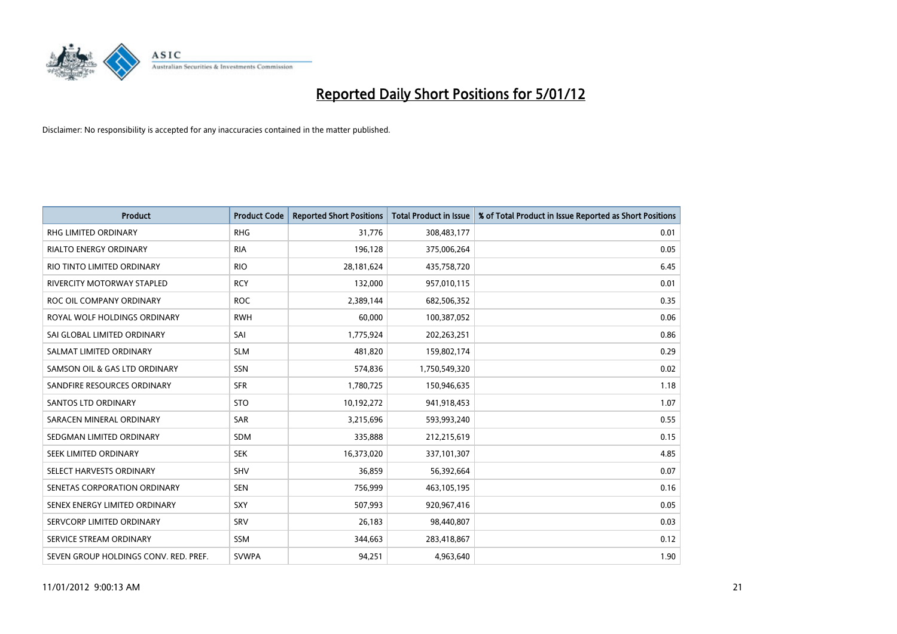

| <b>Product</b>                        | <b>Product Code</b> | <b>Reported Short Positions</b> | <b>Total Product in Issue</b> | % of Total Product in Issue Reported as Short Positions |
|---------------------------------------|---------------------|---------------------------------|-------------------------------|---------------------------------------------------------|
| <b>RHG LIMITED ORDINARY</b>           | <b>RHG</b>          | 31,776                          | 308,483,177                   | 0.01                                                    |
| RIALTO ENERGY ORDINARY                | <b>RIA</b>          | 196,128                         | 375,006,264                   | 0.05                                                    |
| RIO TINTO LIMITED ORDINARY            | <b>RIO</b>          | 28,181,624                      | 435,758,720                   | 6.45                                                    |
| RIVERCITY MOTORWAY STAPLED            | <b>RCY</b>          | 132,000                         | 957,010,115                   | 0.01                                                    |
| ROC OIL COMPANY ORDINARY              | <b>ROC</b>          | 2,389,144                       | 682,506,352                   | 0.35                                                    |
| ROYAL WOLF HOLDINGS ORDINARY          | <b>RWH</b>          | 60,000                          | 100,387,052                   | 0.06                                                    |
| SAI GLOBAL LIMITED ORDINARY           | SAI                 | 1,775,924                       | 202,263,251                   | 0.86                                                    |
| SALMAT LIMITED ORDINARY               | <b>SLM</b>          | 481,820                         | 159,802,174                   | 0.29                                                    |
| SAMSON OIL & GAS LTD ORDINARY         | SSN                 | 574,836                         | 1,750,549,320                 | 0.02                                                    |
| SANDFIRE RESOURCES ORDINARY           | <b>SFR</b>          | 1,780,725                       | 150,946,635                   | 1.18                                                    |
| SANTOS LTD ORDINARY                   | <b>STO</b>          | 10,192,272                      | 941,918,453                   | 1.07                                                    |
| SARACEN MINERAL ORDINARY              | SAR                 | 3,215,696                       | 593,993,240                   | 0.55                                                    |
| SEDGMAN LIMITED ORDINARY              | <b>SDM</b>          | 335,888                         | 212,215,619                   | 0.15                                                    |
| SEEK LIMITED ORDINARY                 | <b>SEK</b>          | 16,373,020                      | 337,101,307                   | 4.85                                                    |
| SELECT HARVESTS ORDINARY              | SHV                 | 36,859                          | 56,392,664                    | 0.07                                                    |
| SENETAS CORPORATION ORDINARY          | <b>SEN</b>          | 756,999                         | 463,105,195                   | 0.16                                                    |
| SENEX ENERGY LIMITED ORDINARY         | SXY                 | 507,993                         | 920,967,416                   | 0.05                                                    |
| SERVCORP LIMITED ORDINARY             | SRV                 | 26,183                          | 98,440,807                    | 0.03                                                    |
| SERVICE STREAM ORDINARY               | <b>SSM</b>          | 344,663                         | 283,418,867                   | 0.12                                                    |
| SEVEN GROUP HOLDINGS CONV. RED. PREF. | <b>SVWPA</b>        | 94,251                          | 4,963,640                     | 1.90                                                    |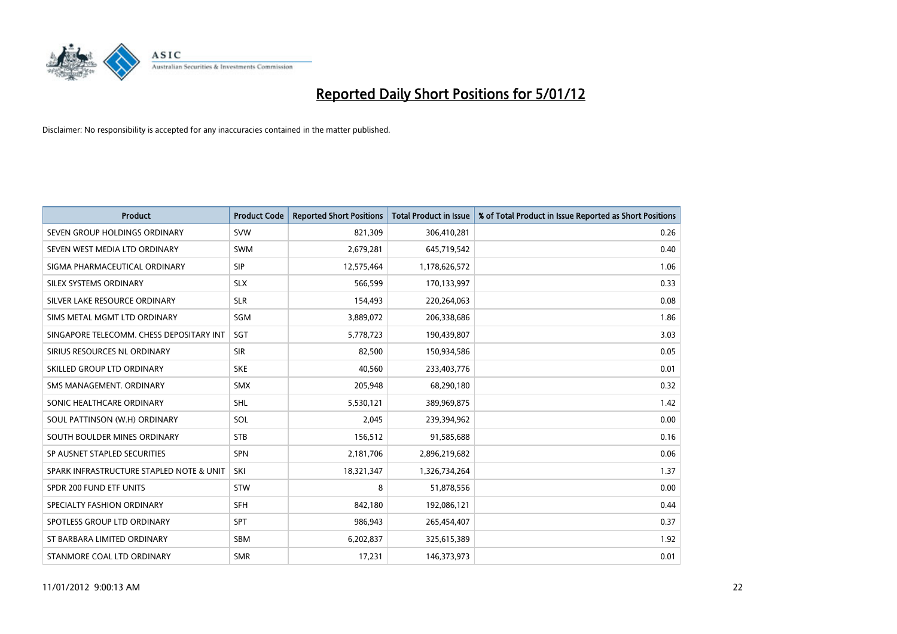

| <b>Product</b>                           | <b>Product Code</b> | <b>Reported Short Positions</b> | <b>Total Product in Issue</b> | % of Total Product in Issue Reported as Short Positions |
|------------------------------------------|---------------------|---------------------------------|-------------------------------|---------------------------------------------------------|
| SEVEN GROUP HOLDINGS ORDINARY            | <b>SVW</b>          | 821,309                         | 306,410,281                   | 0.26                                                    |
| SEVEN WEST MEDIA LTD ORDINARY            | <b>SWM</b>          | 2,679,281                       | 645,719,542                   | 0.40                                                    |
| SIGMA PHARMACEUTICAL ORDINARY            | <b>SIP</b>          | 12,575,464                      | 1,178,626,572                 | 1.06                                                    |
| SILEX SYSTEMS ORDINARY                   | <b>SLX</b>          | 566,599                         | 170,133,997                   | 0.33                                                    |
| SILVER LAKE RESOURCE ORDINARY            | <b>SLR</b>          | 154,493                         | 220,264,063                   | 0.08                                                    |
| SIMS METAL MGMT LTD ORDINARY             | SGM                 | 3,889,072                       | 206,338,686                   | 1.86                                                    |
| SINGAPORE TELECOMM. CHESS DEPOSITARY INT | <b>SGT</b>          | 5,778,723                       | 190,439,807                   | 3.03                                                    |
| SIRIUS RESOURCES NL ORDINARY             | <b>SIR</b>          | 82,500                          | 150,934,586                   | 0.05                                                    |
| SKILLED GROUP LTD ORDINARY               | <b>SKE</b>          | 40,560                          | 233,403,776                   | 0.01                                                    |
| SMS MANAGEMENT, ORDINARY                 | <b>SMX</b>          | 205,948                         | 68,290,180                    | 0.32                                                    |
| SONIC HEALTHCARE ORDINARY                | <b>SHL</b>          | 5,530,121                       | 389,969,875                   | 1.42                                                    |
| SOUL PATTINSON (W.H) ORDINARY            | SOL                 | 2,045                           | 239,394,962                   | 0.00                                                    |
| SOUTH BOULDER MINES ORDINARY             | <b>STB</b>          | 156,512                         | 91,585,688                    | 0.16                                                    |
| SP AUSNET STAPLED SECURITIES             | <b>SPN</b>          | 2,181,706                       | 2,896,219,682                 | 0.06                                                    |
| SPARK INFRASTRUCTURE STAPLED NOTE & UNIT | SKI                 | 18,321,347                      | 1,326,734,264                 | 1.37                                                    |
| SPDR 200 FUND ETF UNITS                  | <b>STW</b>          | 8                               | 51,878,556                    | 0.00                                                    |
| SPECIALTY FASHION ORDINARY               | <b>SFH</b>          | 842,180                         | 192,086,121                   | 0.44                                                    |
| SPOTLESS GROUP LTD ORDINARY              | <b>SPT</b>          | 986,943                         | 265,454,407                   | 0.37                                                    |
| ST BARBARA LIMITED ORDINARY              | SBM                 | 6,202,837                       | 325,615,389                   | 1.92                                                    |
| STANMORE COAL LTD ORDINARY               | <b>SMR</b>          | 17,231                          | 146,373,973                   | 0.01                                                    |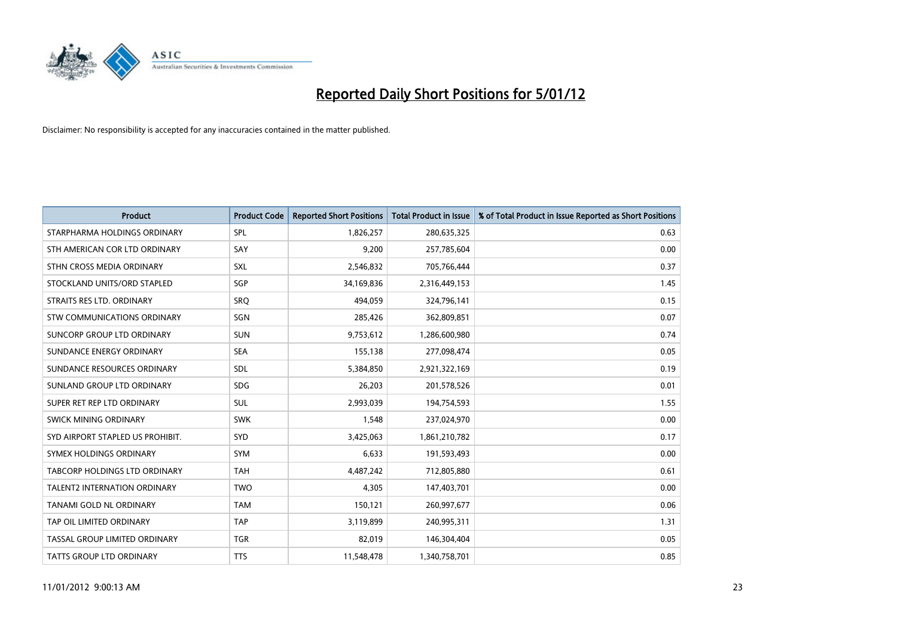

| <b>Product</b>                   | <b>Product Code</b> | <b>Reported Short Positions</b> | <b>Total Product in Issue</b> | % of Total Product in Issue Reported as Short Positions |
|----------------------------------|---------------------|---------------------------------|-------------------------------|---------------------------------------------------------|
| STARPHARMA HOLDINGS ORDINARY     | SPL                 | 1,826,257                       | 280,635,325                   | 0.63                                                    |
| STH AMERICAN COR LTD ORDINARY    | SAY                 | 9,200                           | 257,785,604                   | 0.00                                                    |
| STHN CROSS MEDIA ORDINARY        | <b>SXL</b>          | 2,546,832                       | 705,766,444                   | 0.37                                                    |
| STOCKLAND UNITS/ORD STAPLED      | SGP                 | 34,169,836                      | 2,316,449,153                 | 1.45                                                    |
| STRAITS RES LTD. ORDINARY        | SRO                 | 494,059                         | 324,796,141                   | 0.15                                                    |
| STW COMMUNICATIONS ORDINARY      | SGN                 | 285,426                         | 362,809,851                   | 0.07                                                    |
| SUNCORP GROUP LTD ORDINARY       | <b>SUN</b>          | 9,753,612                       | 1,286,600,980                 | 0.74                                                    |
| SUNDANCE ENERGY ORDINARY         | <b>SEA</b>          | 155,138                         | 277,098,474                   | 0.05                                                    |
| SUNDANCE RESOURCES ORDINARY      | SDL                 | 5,384,850                       | 2,921,322,169                 | 0.19                                                    |
| SUNLAND GROUP LTD ORDINARY       | <b>SDG</b>          | 26,203                          | 201,578,526                   | 0.01                                                    |
| SUPER RET REP LTD ORDINARY       | <b>SUL</b>          | 2,993,039                       | 194,754,593                   | 1.55                                                    |
| <b>SWICK MINING ORDINARY</b>     | <b>SWK</b>          | 1,548                           | 237,024,970                   | 0.00                                                    |
| SYD AIRPORT STAPLED US PROHIBIT. | <b>SYD</b>          | 3,425,063                       | 1,861,210,782                 | 0.17                                                    |
| SYMEX HOLDINGS ORDINARY          | <b>SYM</b>          | 6,633                           | 191,593,493                   | 0.00                                                    |
| TABCORP HOLDINGS LTD ORDINARY    | <b>TAH</b>          | 4,487,242                       | 712,805,880                   | 0.61                                                    |
| TALENT2 INTERNATION ORDINARY     | <b>TWO</b>          | 4,305                           | 147,403,701                   | 0.00                                                    |
| TANAMI GOLD NL ORDINARY          | <b>TAM</b>          | 150,121                         | 260,997,677                   | 0.06                                                    |
| TAP OIL LIMITED ORDINARY         | <b>TAP</b>          | 3,119,899                       | 240,995,311                   | 1.31                                                    |
| TASSAL GROUP LIMITED ORDINARY    | <b>TGR</b>          | 82,019                          | 146,304,404                   | 0.05                                                    |
| <b>TATTS GROUP LTD ORDINARY</b>  | <b>TTS</b>          | 11,548,478                      | 1,340,758,701                 | 0.85                                                    |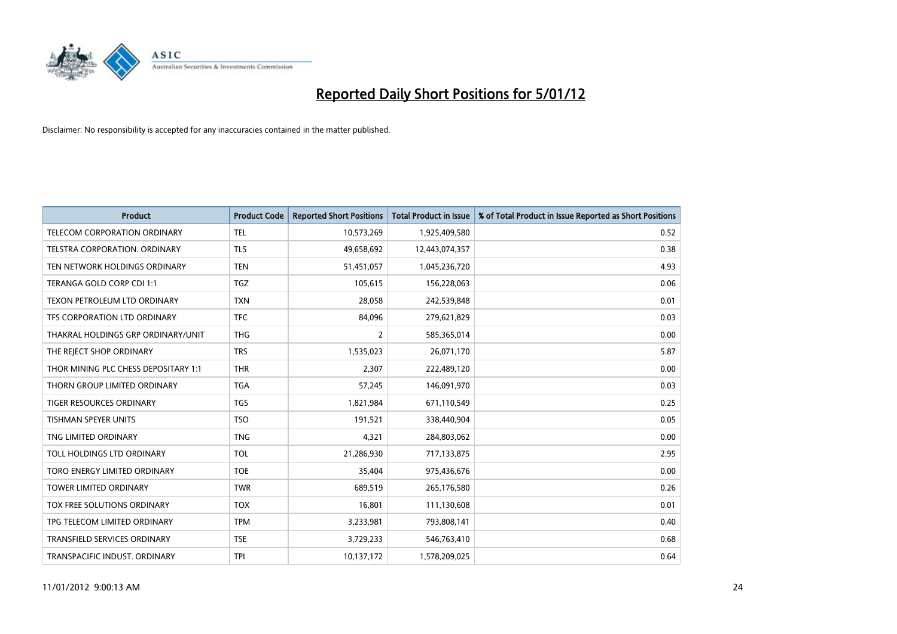

| <b>Product</b>                       | <b>Product Code</b> | <b>Reported Short Positions</b> | <b>Total Product in Issue</b> | % of Total Product in Issue Reported as Short Positions |
|--------------------------------------|---------------------|---------------------------------|-------------------------------|---------------------------------------------------------|
| <b>TELECOM CORPORATION ORDINARY</b>  | <b>TEL</b>          | 10,573,269                      | 1,925,409,580                 | 0.52                                                    |
| TELSTRA CORPORATION. ORDINARY        | <b>TLS</b>          | 49,658,692                      | 12,443,074,357                | 0.38                                                    |
| TEN NETWORK HOLDINGS ORDINARY        | <b>TEN</b>          | 51,451,057                      | 1,045,236,720                 | 4.93                                                    |
| TERANGA GOLD CORP CDI 1:1            | <b>TGZ</b>          | 105,615                         | 156,228,063                   | 0.06                                                    |
| TEXON PETROLEUM LTD ORDINARY         | <b>TXN</b>          | 28,058                          | 242,539,848                   | 0.01                                                    |
| TFS CORPORATION LTD ORDINARY         | <b>TFC</b>          | 84.096                          | 279,621,829                   | 0.03                                                    |
| THAKRAL HOLDINGS GRP ORDINARY/UNIT   | <b>THG</b>          | $\overline{2}$                  | 585,365,014                   | 0.00                                                    |
| THE REJECT SHOP ORDINARY             | <b>TRS</b>          | 1,535,023                       | 26,071,170                    | 5.87                                                    |
| THOR MINING PLC CHESS DEPOSITARY 1:1 | <b>THR</b>          | 2,307                           | 222,489,120                   | 0.00                                                    |
| THORN GROUP LIMITED ORDINARY         | <b>TGA</b>          | 57,245                          | 146,091,970                   | 0.03                                                    |
| TIGER RESOURCES ORDINARY             | <b>TGS</b>          | 1,821,984                       | 671,110,549                   | 0.25                                                    |
| TISHMAN SPEYER UNITS                 | <b>TSO</b>          | 191,521                         | 338,440,904                   | 0.05                                                    |
| TNG LIMITED ORDINARY                 | <b>TNG</b>          | 4,321                           | 284,803,062                   | 0.00                                                    |
| TOLL HOLDINGS LTD ORDINARY           | <b>TOL</b>          | 21,286,930                      | 717,133,875                   | 2.95                                                    |
| TORO ENERGY LIMITED ORDINARY         | <b>TOE</b>          | 35,404                          | 975,436,676                   | 0.00                                                    |
| <b>TOWER LIMITED ORDINARY</b>        | <b>TWR</b>          | 689.519                         | 265,176,580                   | 0.26                                                    |
| TOX FREE SOLUTIONS ORDINARY          | <b>TOX</b>          | 16,801                          | 111,130,608                   | 0.01                                                    |
| TPG TELECOM LIMITED ORDINARY         | <b>TPM</b>          | 3,233,981                       | 793,808,141                   | 0.40                                                    |
| TRANSFIELD SERVICES ORDINARY         | <b>TSE</b>          | 3,729,233                       | 546,763,410                   | 0.68                                                    |
| TRANSPACIFIC INDUST. ORDINARY        | <b>TPI</b>          | 10,137,172                      | 1,578,209,025                 | 0.64                                                    |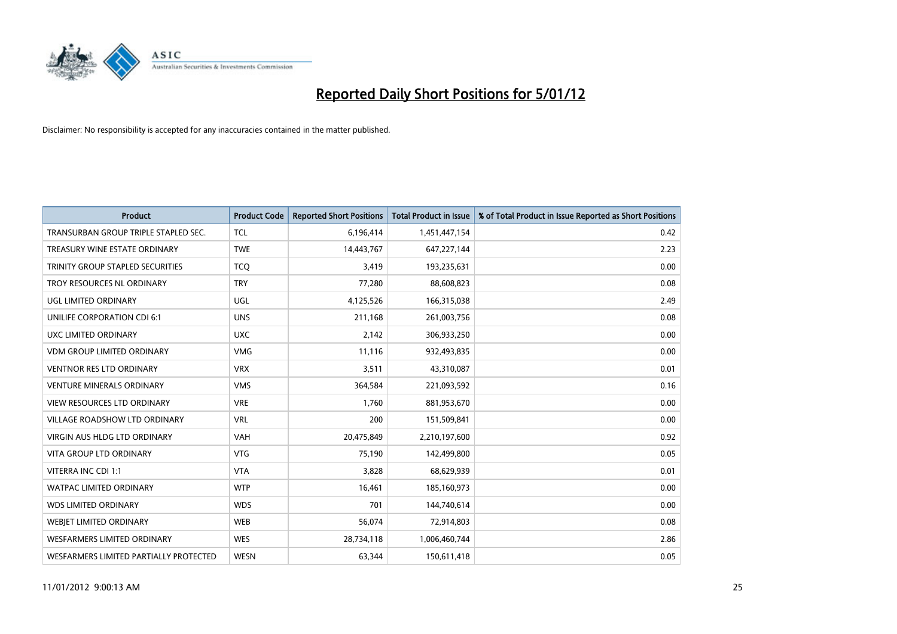

| <b>Product</b>                          | <b>Product Code</b> | <b>Reported Short Positions</b> | <b>Total Product in Issue</b> | % of Total Product in Issue Reported as Short Positions |
|-----------------------------------------|---------------------|---------------------------------|-------------------------------|---------------------------------------------------------|
| TRANSURBAN GROUP TRIPLE STAPLED SEC.    | <b>TCL</b>          | 6,196,414                       | 1,451,447,154                 | 0.42                                                    |
| TREASURY WINE ESTATE ORDINARY           | <b>TWE</b>          | 14,443,767                      | 647,227,144                   | 2.23                                                    |
| <b>TRINITY GROUP STAPLED SECURITIES</b> | <b>TCQ</b>          | 3,419                           | 193,235,631                   | 0.00                                                    |
| TROY RESOURCES NL ORDINARY              | <b>TRY</b>          | 77,280                          | 88,608,823                    | 0.08                                                    |
| UGL LIMITED ORDINARY                    | UGL                 | 4,125,526                       | 166,315,038                   | 2.49                                                    |
| UNILIFE CORPORATION CDI 6:1             | <b>UNS</b>          | 211,168                         | 261,003,756                   | 0.08                                                    |
| UXC LIMITED ORDINARY                    | <b>UXC</b>          | 2,142                           | 306,933,250                   | 0.00                                                    |
| <b>VDM GROUP LIMITED ORDINARY</b>       | <b>VMG</b>          | 11,116                          | 932,493,835                   | 0.00                                                    |
| <b>VENTNOR RES LTD ORDINARY</b>         | <b>VRX</b>          | 3,511                           | 43,310,087                    | 0.01                                                    |
| <b>VENTURE MINERALS ORDINARY</b>        | <b>VMS</b>          | 364,584                         | 221,093,592                   | 0.16                                                    |
| VIEW RESOURCES LTD ORDINARY             | <b>VRE</b>          | 1,760                           | 881,953,670                   | 0.00                                                    |
| VILLAGE ROADSHOW LTD ORDINARY           | <b>VRL</b>          | 200                             | 151,509,841                   | 0.00                                                    |
| <b>VIRGIN AUS HLDG LTD ORDINARY</b>     | <b>VAH</b>          | 20,475,849                      | 2,210,197,600                 | 0.92                                                    |
| <b>VITA GROUP LTD ORDINARY</b>          | <b>VTG</b>          | 75,190                          | 142,499,800                   | 0.05                                                    |
| VITERRA INC CDI 1:1                     | <b>VTA</b>          | 3,828                           | 68,629,939                    | 0.01                                                    |
| <b>WATPAC LIMITED ORDINARY</b>          | <b>WTP</b>          | 16,461                          | 185,160,973                   | 0.00                                                    |
| <b>WDS LIMITED ORDINARY</b>             | <b>WDS</b>          | 701                             | 144,740,614                   | 0.00                                                    |
| WEBJET LIMITED ORDINARY                 | <b>WEB</b>          | 56,074                          | 72,914,803                    | 0.08                                                    |
| <b>WESFARMERS LIMITED ORDINARY</b>      | <b>WES</b>          | 28,734,118                      | 1,006,460,744                 | 2.86                                                    |
| WESFARMERS LIMITED PARTIALLY PROTECTED  | <b>WESN</b>         | 63,344                          | 150,611,418                   | 0.05                                                    |